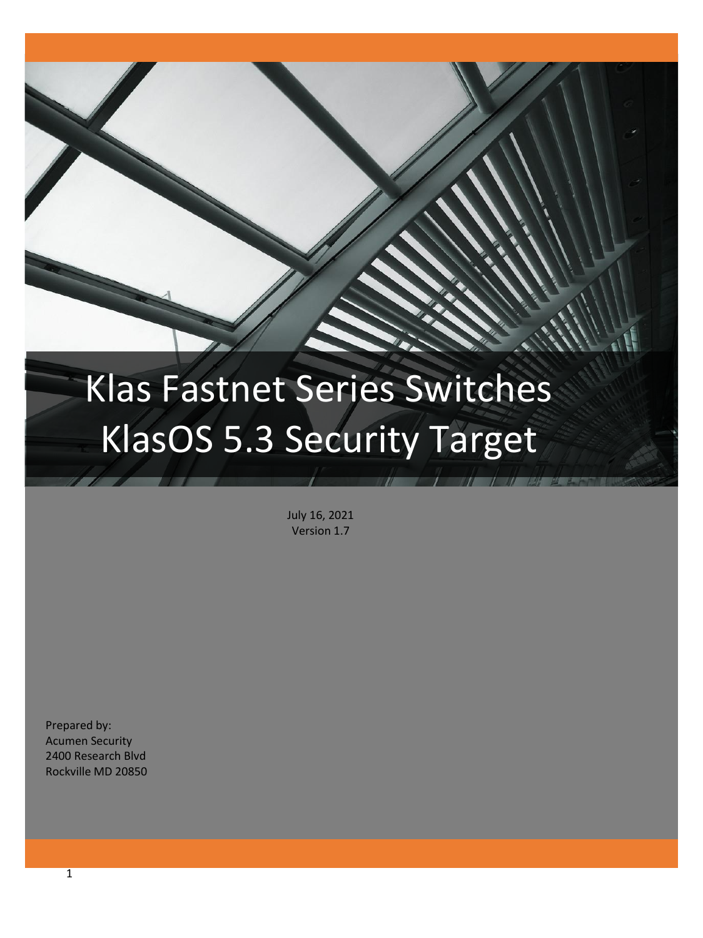# Klas Fastnet Series Switches KlasOS 5.3 Security Target

July 16, 2021 Version 1.7

Prepared by: Prepared by: Acumen Security 2400 Research Blvd Rockville MD 20850 Rockville MD 20850 Acumen Security 2400 Research Blvd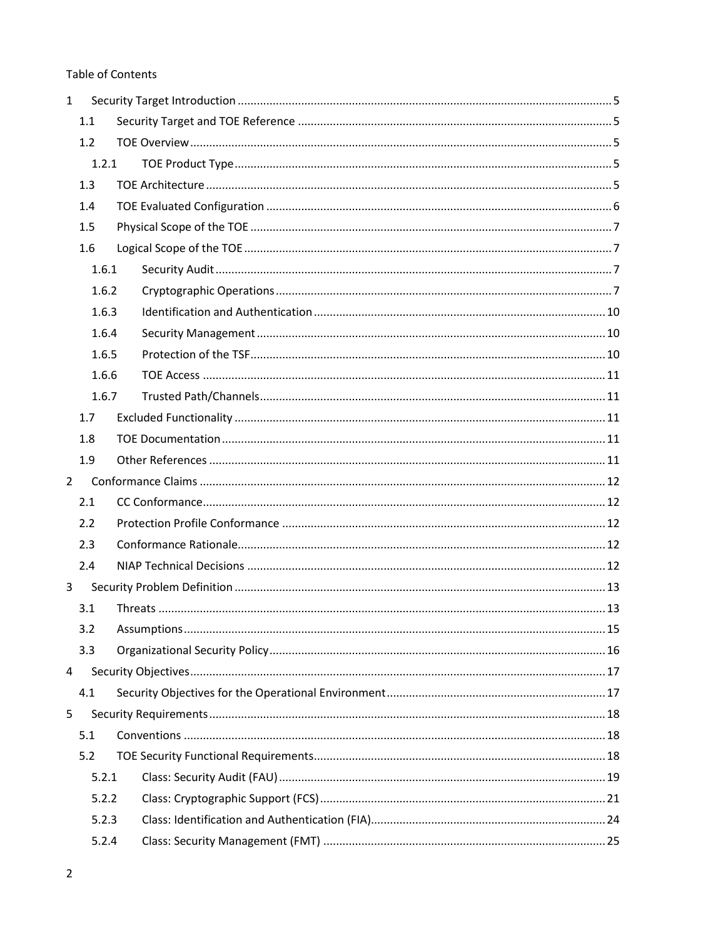#### Table of Contents

| $\mathbf{1}$ |     |       |  |  |  |
|--------------|-----|-------|--|--|--|
| 1.1          |     |       |  |  |  |
|              | 1.2 |       |  |  |  |
| 1.3          |     | 1.2.1 |  |  |  |
|              |     |       |  |  |  |
|              | 1.4 |       |  |  |  |
|              | 1.5 |       |  |  |  |
|              | 1.6 |       |  |  |  |
|              |     | 1.6.1 |  |  |  |
|              |     | 1.6.2 |  |  |  |
|              |     | 1.6.3 |  |  |  |
|              |     | 1.6.4 |  |  |  |
|              |     | 1.6.5 |  |  |  |
|              |     | 1.6.6 |  |  |  |
|              |     | 1.6.7 |  |  |  |
|              | 1.7 |       |  |  |  |
|              | 1.8 |       |  |  |  |
|              | 1.9 |       |  |  |  |
| $2^{\circ}$  |     |       |  |  |  |
|              | 2.1 |       |  |  |  |
|              | 2.2 |       |  |  |  |
|              | 2.3 |       |  |  |  |
|              | 2.4 |       |  |  |  |
| 3            |     |       |  |  |  |
|              | 3.1 |       |  |  |  |
|              | 3.2 |       |  |  |  |
|              | 3.3 |       |  |  |  |
| 4            |     |       |  |  |  |
|              | 4.1 |       |  |  |  |
| 5            |     |       |  |  |  |
|              | 5.1 |       |  |  |  |
|              | 5.2 |       |  |  |  |
|              |     | 5.2.1 |  |  |  |
|              |     | 5.2.2 |  |  |  |
|              |     | 5.2.3 |  |  |  |
|              |     | 5.2.4 |  |  |  |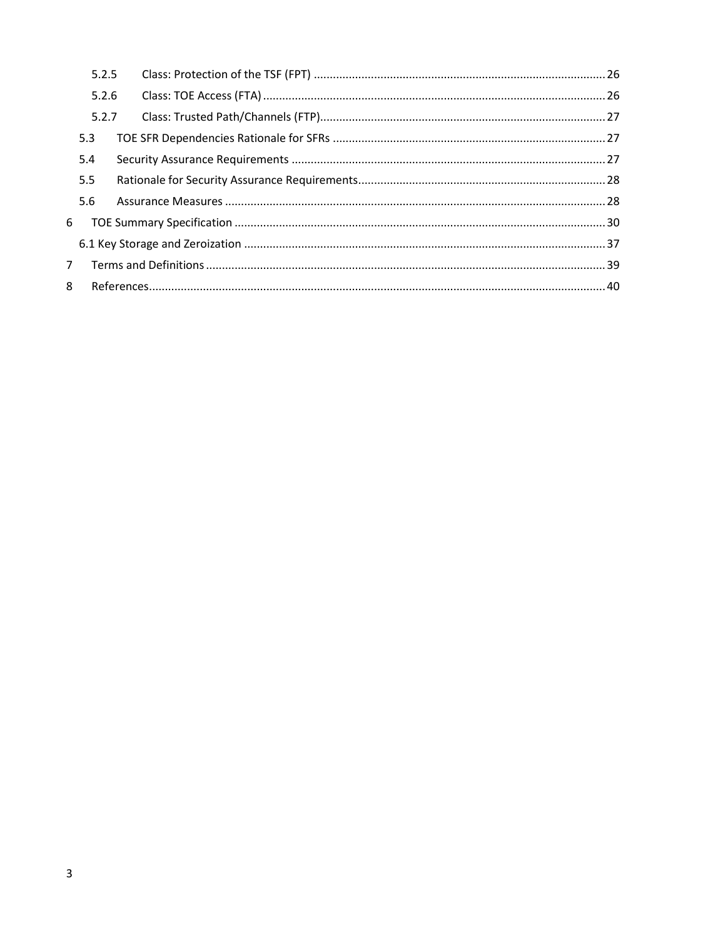| 5.2.5       |  |
|-------------|--|
| 5.2.6       |  |
| 5.2.7       |  |
| 5.3         |  |
| 5.4         |  |
| 5.5         |  |
| 5.6         |  |
| 6           |  |
|             |  |
| $7^{\circ}$ |  |
| 8           |  |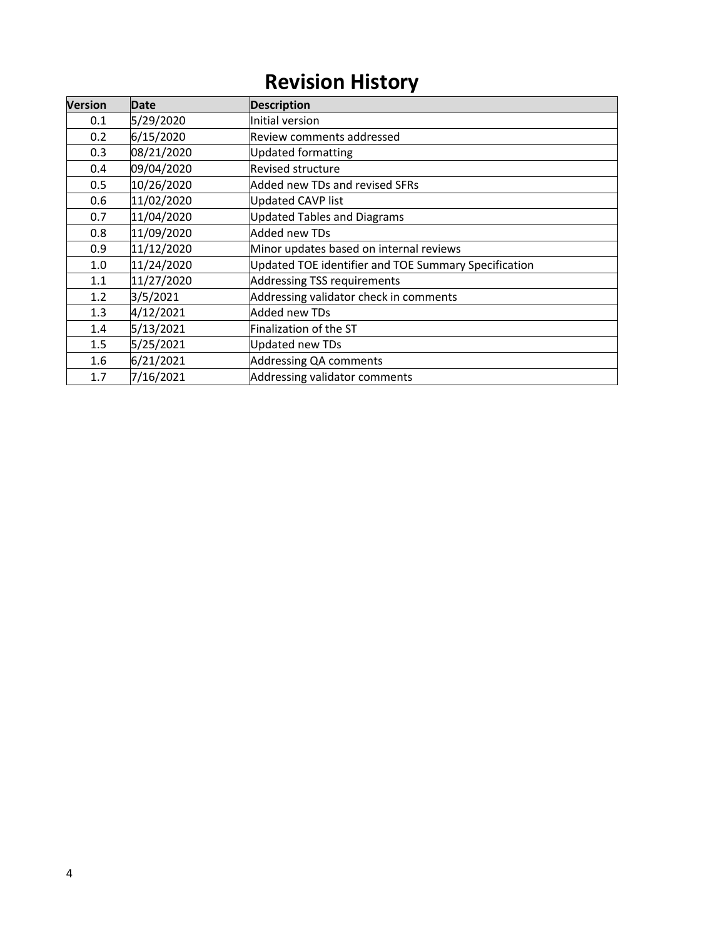# **Revision History**

| <b>Version</b> | <b>Date</b> | <b>Description</b>                                   |
|----------------|-------------|------------------------------------------------------|
| 0.1            | 5/29/2020   | Initial version                                      |
| 0.2            | 6/15/2020   | <b>Review comments addressed</b>                     |
| 0.3            | 08/21/2020  | <b>Updated formatting</b>                            |
| 0.4            | 09/04/2020  | <b>Revised structure</b>                             |
| 0.5            | 10/26/2020  | Added new TDs and revised SFRs                       |
| 0.6            | 11/02/2020  | <b>Updated CAVP list</b>                             |
| 0.7            | 11/04/2020  | <b>Updated Tables and Diagrams</b>                   |
| 0.8            | 11/09/2020  | <b>Added new TDs</b>                                 |
| 0.9            | 11/12/2020  | Minor updates based on internal reviews              |
| 1.0            | 11/24/2020  | Updated TOE identifier and TOE Summary Specification |
| 1.1            | 11/27/2020  | <b>Addressing TSS requirements</b>                   |
| 1.2            | 3/5/2021    | Addressing validator check in comments               |
| 1.3            | 4/12/2021   | Added new TDs                                        |
| 1.4            | 5/13/2021   | Finalization of the ST                               |
| 1.5            | 5/25/2021   | Updated new TDs                                      |
| 1.6            | 6/21/2021   | Addressing QA comments                               |
| 1.7            | 7/16/2021   | Addressing validator comments                        |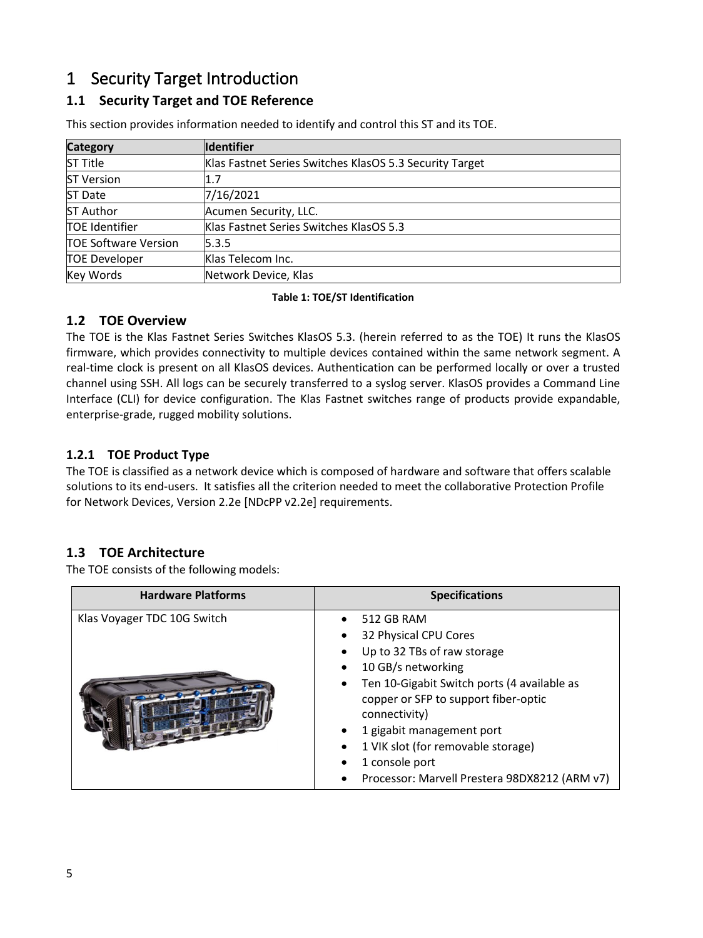# <span id="page-4-0"></span>1 Security Target Introduction

# <span id="page-4-1"></span>**1.1 Security Target and TOE Reference**

| <b>Category</b>             | <b>Identifier</b>                                       |
|-----------------------------|---------------------------------------------------------|
| ST Title                    | Klas Fastnet Series Switches KlasOS 5.3 Security Target |
| <b>ST Version</b>           | 1.7                                                     |
| <b>ST Date</b>              | 7/16/2021                                               |
| <b>ST Author</b>            | Acumen Security, LLC.                                   |
| <b>TOE Identifier</b>       | Klas Fastnet Series Switches KlasOS 5.3                 |
| <b>TOE Software Version</b> | 5.3.5                                                   |
| <b>TOE Developer</b>        | Klas Telecom Inc.                                       |
| <b>Key Words</b>            | Network Device, Klas                                    |

This section provides information needed to identify and control this ST and its TOE.

#### **Table 1: TOE/ST Identification**

# <span id="page-4-2"></span>**1.2 TOE Overview**

The TOE is the Klas Fastnet Series Switches KlasOS 5.3. (herein referred to as the TOE) It runs the KlasOS firmware, which provides connectivity to multiple devices contained within the same network segment. A real-time clock is present on all KlasOS devices. Authentication can be performed locally or over a trusted channel using SSH. All logs can be securely transferred to a syslog server. KlasOS provides a Command Line Interface (CLI) for device configuration. The Klas Fastnet switches range of products provide expandable, enterprise-grade, rugged mobility solutions.

## <span id="page-4-3"></span>**1.2.1 TOE Product Type**

The TOE is classified as a network device which is composed of hardware and software that offers scalable solutions to its end-users. It satisfies all the criterion needed to meet the collaborative Protection Profile for Network Devices, Version 2.2e [NDcPP v2.2e] requirements.

# <span id="page-4-4"></span>**1.3 TOE Architecture**

The TOE consists of the following models:

| <b>Hardware Platforms</b>   | <b>Specifications</b>                                                                                                                                                                                                                                            |
|-----------------------------|------------------------------------------------------------------------------------------------------------------------------------------------------------------------------------------------------------------------------------------------------------------|
| Klas Voyager TDC 10G Switch | 512 GB RAM<br>32 Physical CPU Cores<br>Up to 32 TBs of raw storage                                                                                                                                                                                               |
|                             | 10 GB/s networking<br>Ten 10-Gigabit Switch ports (4 available as<br>copper or SFP to support fiber-optic<br>connectivity)<br>1 gigabit management port<br>1 VIK slot (for removable storage)<br>1 console port<br>Processor: Marvell Prestera 98DX8212 (ARM v7) |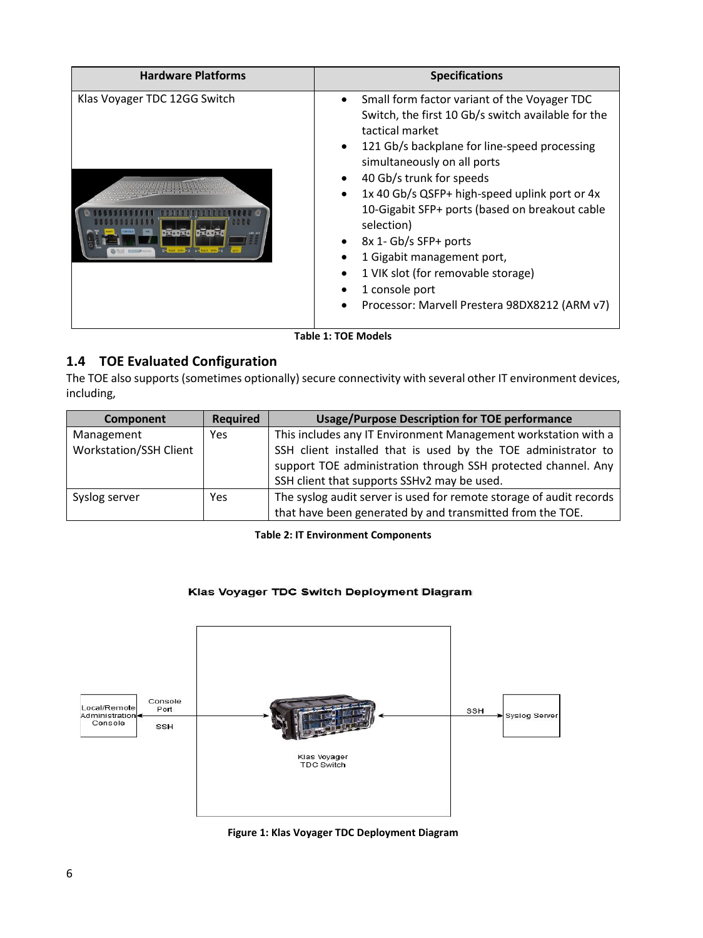| <b>Hardware Platforms</b>                                            | <b>Specifications</b>                                                                                                                                                                                                                                                                                                                                                                                                                                                                                                          |
|----------------------------------------------------------------------|--------------------------------------------------------------------------------------------------------------------------------------------------------------------------------------------------------------------------------------------------------------------------------------------------------------------------------------------------------------------------------------------------------------------------------------------------------------------------------------------------------------------------------|
| Klas Voyager TDC 12GG Switch<br><b>D-Tenz</b> SPP- 52 7 Tenz SPP- 52 | Small form factor variant of the Voyager TDC<br>Switch, the first 10 Gb/s switch available for the<br>tactical market<br>121 Gb/s backplane for line-speed processing<br>simultaneously on all ports<br>40 Gb/s trunk for speeds<br>$\bullet$<br>1x 40 Gb/s QSFP+ high-speed uplink port or 4x<br>10-Gigabit SFP+ ports (based on breakout cable<br>selection)<br>8x 1- Gb/s SFP+ ports<br>1 Gigabit management port,<br>1 VIK slot (for removable storage)<br>1 console port<br>Processor: Marvell Prestera 98DX8212 (ARM v7) |

**Table 1: TOE Models**

# <span id="page-5-0"></span>**1.4 TOE Evaluated Configuration**

The TOE also supports (sometimes optionally) secure connectivity with several other IT environment devices, including,

| <b>Component</b>                            | <b>Required</b> | <b>Usage/Purpose Description for TOE performance</b>                                                                                                                                                                                            |
|---------------------------------------------|-----------------|-------------------------------------------------------------------------------------------------------------------------------------------------------------------------------------------------------------------------------------------------|
| Management<br><b>Workstation/SSH Client</b> | Yes             | This includes any IT Environment Management workstation with a<br>SSH client installed that is used by the TOE administrator to<br>support TOE administration through SSH protected channel. Any<br>SSH client that supports SSHv2 may be used. |
| Syslog server                               | Yes             | The syslog audit server is used for remote storage of audit records<br>that have been generated by and transmitted from the TOE.                                                                                                                |

**Table 2: IT Environment Components**



Klas Voyager TDC Switch Deployment Diagram

**Figure 1: Klas Voyager TDC Deployment Diagram**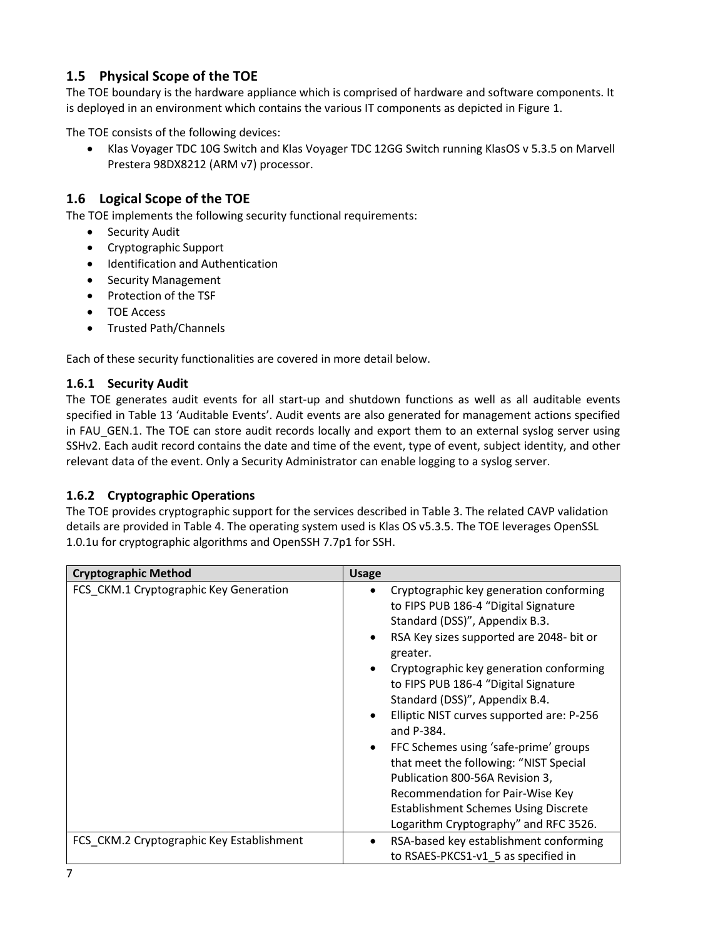# <span id="page-6-0"></span>**1.5 Physical Scope of the TOE**

The TOE boundary is the hardware appliance which is comprised of hardware and software components. It is deployed in an environment which contains the various IT components as depicted in Figure 1.

The TOE consists of the following devices:

• Klas Voyager TDC 10G Switch and Klas Voyager TDC 12GG Switch running KlasOS v 5.3.5 on Marvell Prestera 98DX8212 (ARM v7) processor.

# <span id="page-6-1"></span>**1.6 Logical Scope of the TOE**

The TOE implements the following security functional requirements:

- Security Audit
- Cryptographic Support
- Identification and Authentication
- Security Management
- Protection of the TSF
- TOE Access
- Trusted Path/Channels

Each of these security functionalities are covered in more detail below.

#### <span id="page-6-2"></span>**1.6.1 Security Audit**

The TOE generates audit events for all start-up and shutdown functions as well as all auditable events specified in Table 13 'Auditable Events'. Audit events are also generated for management actions specified in FAU GEN.1. The TOE can store audit records locally and export them to an external syslog server using SSHv2. Each audit record contains the date and time of the event, type of event, subject identity, and other relevant data of the event. Only a Security Administrator can enable logging to a syslog server.

#### <span id="page-6-3"></span>**1.6.2 Cryptographic Operations**

The TOE provides cryptographic support for the services described in Table 3. The related CAVP validation details are provided in Table 4. The operating system used is Klas OS v5.3.5. The TOE leverages OpenSSL 1.0.1u for cryptographic algorithms and OpenSSH 7.7p1 for SSH.

| <b>Cryptographic Method</b>               | <b>Usage</b>                                                                                                                                                                                                                                                                                                                                                                                                                                                                                                                                                                                                                                       |
|-------------------------------------------|----------------------------------------------------------------------------------------------------------------------------------------------------------------------------------------------------------------------------------------------------------------------------------------------------------------------------------------------------------------------------------------------------------------------------------------------------------------------------------------------------------------------------------------------------------------------------------------------------------------------------------------------------|
| FCS_CKM.1 Cryptographic Key Generation    | Cryptographic key generation conforming<br>to FIPS PUB 186-4 "Digital Signature<br>Standard (DSS)", Appendix B.3.<br>RSA Key sizes supported are 2048- bit or<br>$\bullet$<br>greater.<br>Cryptographic key generation conforming<br>to FIPS PUB 186-4 "Digital Signature<br>Standard (DSS)", Appendix B.4.<br>Elliptic NIST curves supported are: P-256<br>$\bullet$<br>and P-384.<br>FFC Schemes using 'safe-prime' groups<br>$\bullet$<br>that meet the following: "NIST Special<br>Publication 800-56A Revision 3,<br>Recommendation for Pair-Wise Key<br><b>Establishment Schemes Using Discrete</b><br>Logarithm Cryptography" and RFC 3526. |
| FCS_CKM.2 Cryptographic Key Establishment | RSA-based key establishment conforming<br>to RSAES-PKCS1-v1 5 as specified in                                                                                                                                                                                                                                                                                                                                                                                                                                                                                                                                                                      |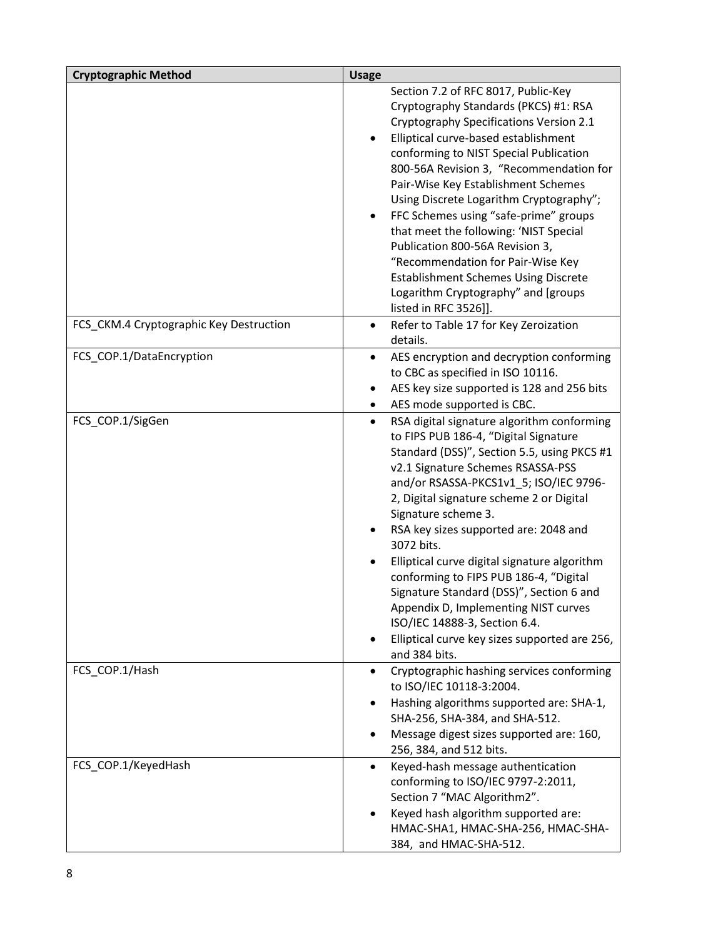| <b>Cryptographic Method</b>             | <b>Usage</b>                                                                                                                                                                                                                                                                                                                                                                                                                                                                                                                                                                                                                                      |
|-----------------------------------------|---------------------------------------------------------------------------------------------------------------------------------------------------------------------------------------------------------------------------------------------------------------------------------------------------------------------------------------------------------------------------------------------------------------------------------------------------------------------------------------------------------------------------------------------------------------------------------------------------------------------------------------------------|
|                                         | Section 7.2 of RFC 8017, Public-Key<br>Cryptography Standards (PKCS) #1: RSA<br><b>Cryptography Specifications Version 2.1</b><br>Elliptical curve-based establishment<br>$\bullet$<br>conforming to NIST Special Publication<br>800-56A Revision 3, "Recommendation for<br>Pair-Wise Key Establishment Schemes<br>Using Discrete Logarithm Cryptography";<br>FFC Schemes using "safe-prime" groups<br>$\bullet$<br>that meet the following: 'NIST Special<br>Publication 800-56A Revision 3,<br>"Recommendation for Pair-Wise Key<br><b>Establishment Schemes Using Discrete</b><br>Logarithm Cryptography" and [groups<br>listed in RFC 3526]]. |
| FCS_CKM.4 Cryptographic Key Destruction | Refer to Table 17 for Key Zeroization<br>$\bullet$<br>details.                                                                                                                                                                                                                                                                                                                                                                                                                                                                                                                                                                                    |
| FCS_COP.1/DataEncryption                | AES encryption and decryption conforming<br>$\bullet$<br>to CBC as specified in ISO 10116.<br>AES key size supported is 128 and 256 bits<br>$\bullet$<br>AES mode supported is CBC.<br>٠                                                                                                                                                                                                                                                                                                                                                                                                                                                          |
| FCS_COP.1/SigGen                        | RSA digital signature algorithm conforming<br>$\bullet$<br>to FIPS PUB 186-4, "Digital Signature<br>Standard (DSS)", Section 5.5, using PKCS #1<br>v2.1 Signature Schemes RSASSA-PSS<br>and/or RSASSA-PKCS1v1_5; ISO/IEC 9796-<br>2, Digital signature scheme 2 or Digital<br>Signature scheme 3.<br>RSA key sizes supported are: 2048 and<br>3072 bits.<br>Elliptical curve digital signature algorithm<br>conforming to FIPS PUB 186-4, "Digital<br>Signature Standard (DSS)", Section 6 and<br>Appendix D, Implementing NIST curves<br>ISO/IEC 14888-3, Section 6.4.<br>Elliptical curve key sizes supported are 256,<br>٠<br>and 384 bits.    |
| FCS_COP.1/Hash                          | Cryptographic hashing services conforming<br>$\bullet$<br>to ISO/IEC 10118-3:2004.<br>Hashing algorithms supported are: SHA-1,<br>SHA-256, SHA-384, and SHA-512.<br>Message digest sizes supported are: 160,<br>256, 384, and 512 bits.                                                                                                                                                                                                                                                                                                                                                                                                           |
| FCS_COP.1/KeyedHash                     | Keyed-hash message authentication<br>$\bullet$<br>conforming to ISO/IEC 9797-2:2011,<br>Section 7 "MAC Algorithm2".<br>Keyed hash algorithm supported are:<br>HMAC-SHA1, HMAC-SHA-256, HMAC-SHA-<br>384, and HMAC-SHA-512.                                                                                                                                                                                                                                                                                                                                                                                                                        |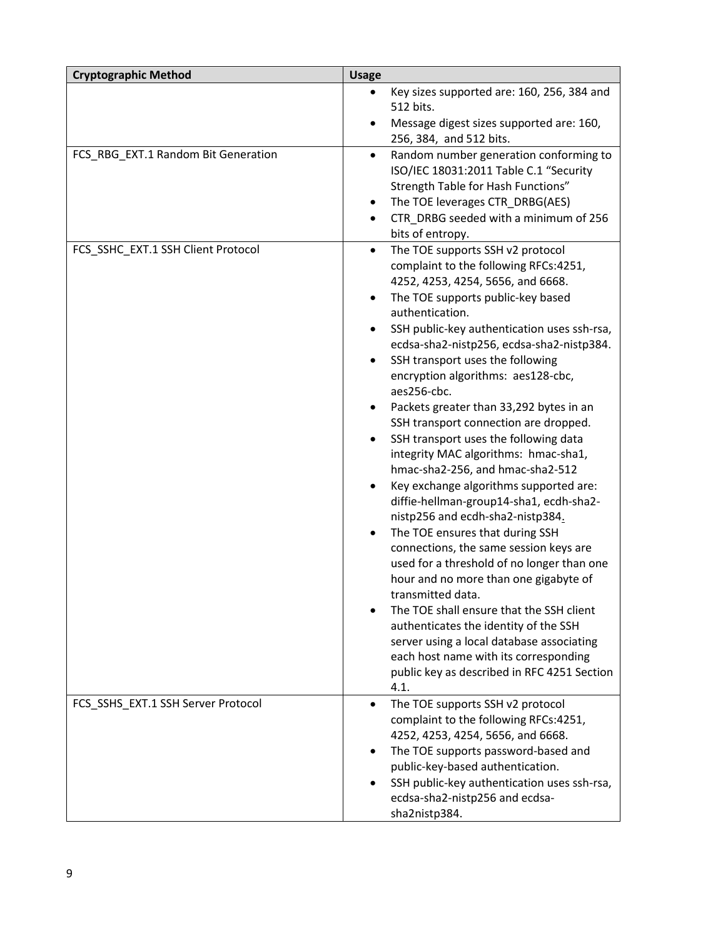| <b>Cryptographic Method</b>         | <b>Usage</b>                                                                                                                                                                                                                                                                                                                                                                                                                                                                                                                                                                                                                                                                                                                                                                                                                                                                                                                                                                                                                                                                                                                                                    |
|-------------------------------------|-----------------------------------------------------------------------------------------------------------------------------------------------------------------------------------------------------------------------------------------------------------------------------------------------------------------------------------------------------------------------------------------------------------------------------------------------------------------------------------------------------------------------------------------------------------------------------------------------------------------------------------------------------------------------------------------------------------------------------------------------------------------------------------------------------------------------------------------------------------------------------------------------------------------------------------------------------------------------------------------------------------------------------------------------------------------------------------------------------------------------------------------------------------------|
|                                     | Key sizes supported are: 160, 256, 384 and<br>$\bullet$<br>512 bits.<br>Message digest sizes supported are: 160,<br>$\bullet$<br>256, 384, and 512 bits.                                                                                                                                                                                                                                                                                                                                                                                                                                                                                                                                                                                                                                                                                                                                                                                                                                                                                                                                                                                                        |
| FCS_RBG_EXT.1 Random Bit Generation | Random number generation conforming to<br>$\bullet$<br>ISO/IEC 18031:2011 Table C.1 "Security<br>Strength Table for Hash Functions"<br>The TOE leverages CTR_DRBG(AES)<br>٠<br>CTR_DRBG seeded with a minimum of 256<br>bits of entropy.                                                                                                                                                                                                                                                                                                                                                                                                                                                                                                                                                                                                                                                                                                                                                                                                                                                                                                                        |
| FCS_SSHC_EXT.1 SSH Client Protocol  | The TOE supports SSH v2 protocol<br>$\bullet$<br>complaint to the following RFCs:4251,<br>4252, 4253, 4254, 5656, and 6668.<br>The TOE supports public-key based<br>authentication.<br>SSH public-key authentication uses ssh-rsa,<br>ecdsa-sha2-nistp256, ecdsa-sha2-nistp384.<br>SSH transport uses the following<br>encryption algorithms: aes128-cbc,<br>aes256-cbc.<br>Packets greater than 33,292 bytes in an<br>SSH transport connection are dropped.<br>SSH transport uses the following data<br>integrity MAC algorithms: hmac-sha1,<br>hmac-sha2-256, and hmac-sha2-512<br>Key exchange algorithms supported are:<br>$\bullet$<br>diffie-hellman-group14-sha1, ecdh-sha2-<br>nistp256 and ecdh-sha2-nistp384.<br>The TOE ensures that during SSH<br>$\bullet$<br>connections, the same session keys are<br>used for a threshold of no longer than one<br>hour and no more than one gigabyte of<br>transmitted data.<br>The TOE shall ensure that the SSH client<br>authenticates the identity of the SSH<br>server using a local database associating<br>each host name with its corresponding<br>public key as described in RFC 4251 Section<br>4.1. |
| FCS_SSHS_EXT.1 SSH Server Protocol  | The TOE supports SSH v2 protocol<br>$\bullet$<br>complaint to the following RFCs:4251,<br>4252, 4253, 4254, 5656, and 6668.<br>The TOE supports password-based and<br>٠<br>public-key-based authentication.<br>SSH public-key authentication uses ssh-rsa,<br>ecdsa-sha2-nistp256 and ecdsa-<br>sha2nistp384.                                                                                                                                                                                                                                                                                                                                                                                                                                                                                                                                                                                                                                                                                                                                                                                                                                                   |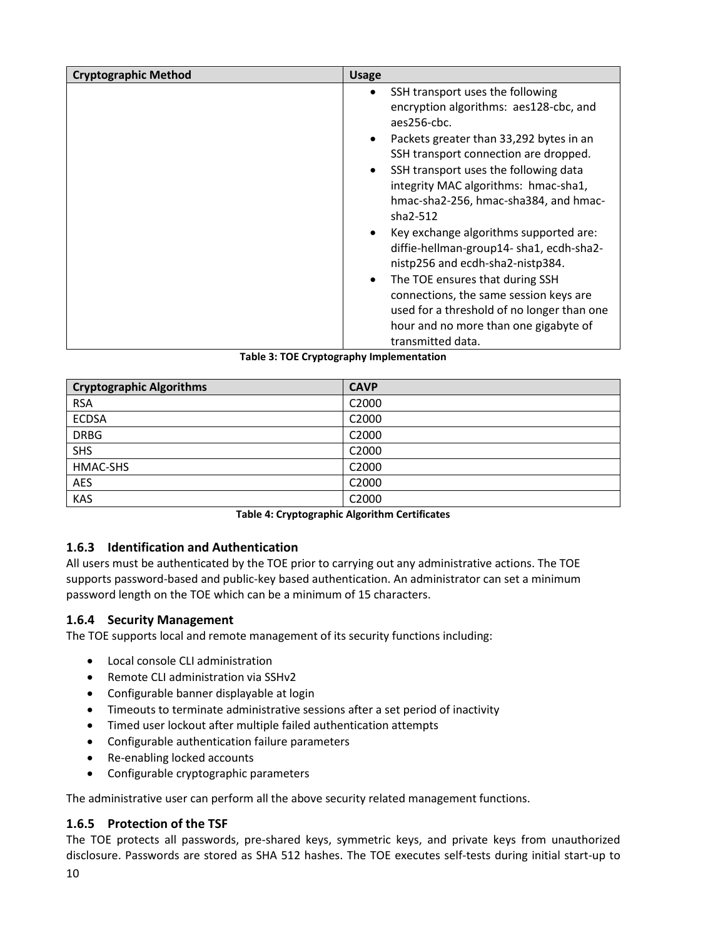| <b>Usage</b>                                                                                                                                                                                                                                                                                                                                                                                                                                                                                                                                                             |
|--------------------------------------------------------------------------------------------------------------------------------------------------------------------------------------------------------------------------------------------------------------------------------------------------------------------------------------------------------------------------------------------------------------------------------------------------------------------------------------------------------------------------------------------------------------------------|
| SSH transport uses the following<br>encryption algorithms: aes128-cbc, and<br>aes256-cbc.<br>Packets greater than 33,292 bytes in an<br>SSH transport connection are dropped.<br>SSH transport uses the following data<br>integrity MAC algorithms: hmac-sha1,<br>hmac-sha2-256, hmac-sha384, and hmac-<br>sha2-512<br>Key exchange algorithms supported are:<br>diffie-hellman-group14- sha1, ecdh-sha2-<br>nistp256 and ecdh-sha2-nistp384.<br>The TOE ensures that during SSH<br>connections, the same session keys are<br>used for a threshold of no longer than one |
| hour and no more than one gigabyte of<br>transmitted data.                                                                                                                                                                                                                                                                                                                                                                                                                                                                                                               |
|                                                                                                                                                                                                                                                                                                                                                                                                                                                                                                                                                                          |

#### **Table 3: TOE Cryptography Implementation**

| <b>Cryptographic Algorithms</b> | <b>CAVP</b>       |
|---------------------------------|-------------------|
| <b>RSA</b>                      | C2000             |
| <b>ECDSA</b>                    | C2000             |
| <b>DRBG</b>                     | C <sub>2000</sub> |
| <b>SHS</b>                      | C <sub>2000</sub> |
| HMAC-SHS                        | C2000             |
| <b>AES</b>                      | C <sub>2000</sub> |
| KAS                             | C2000             |

#### **Table 4: Cryptographic Algorithm Certificates**

#### <span id="page-9-0"></span>**1.6.3 Identification and Authentication**

All users must be authenticated by the TOE prior to carrying out any administrative actions. The TOE supports password-based and public-key based authentication. An administrator can set a minimum password length on the TOE which can be a minimum of 15 characters.

#### <span id="page-9-1"></span>**1.6.4 Security Management**

The TOE supports local and remote management of its security functions including:

- Local console CLI administration
- Remote CLI administration via SSHv2
- Configurable banner displayable at login
- Timeouts to terminate administrative sessions after a set period of inactivity
- Timed user lockout after multiple failed authentication attempts
- Configurable authentication failure parameters
- Re-enabling locked accounts
- Configurable cryptographic parameters

The administrative user can perform all the above security related management functions.

#### <span id="page-9-2"></span>**1.6.5 Protection of the TSF**

The TOE protects all passwords, pre-shared keys, symmetric keys, and private keys from unauthorized disclosure. Passwords are stored as SHA 512 hashes. The TOE executes self-tests during initial start-up to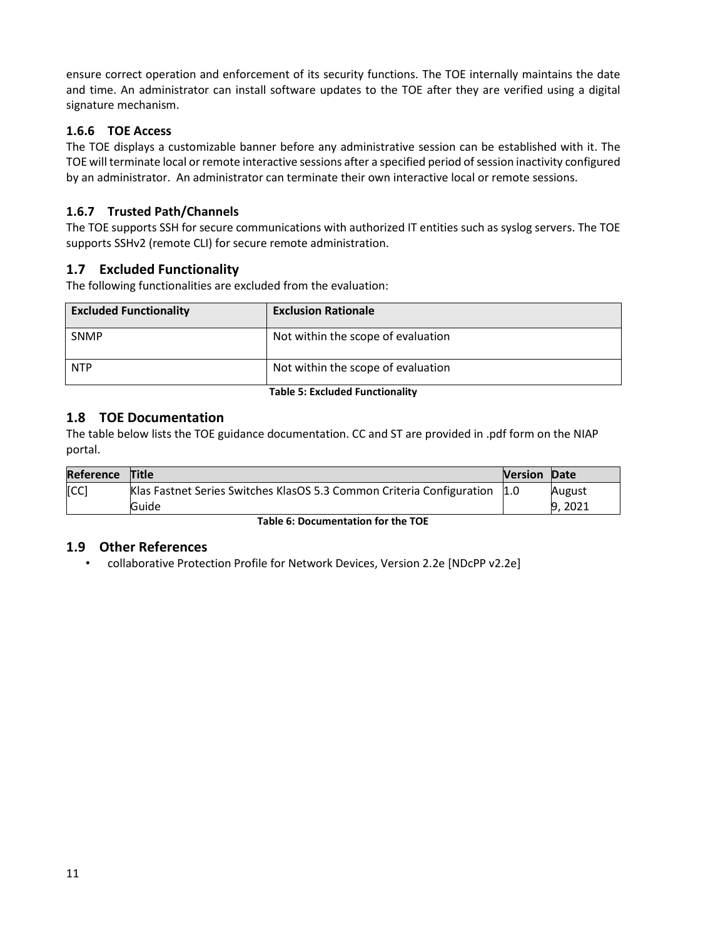ensure correct operation and enforcement of its security functions. The TOE internally maintains the date and time. An administrator can install software updates to the TOE after they are verified using a digital signature mechanism.

#### <span id="page-10-0"></span>**1.6.6 TOE Access**

The TOE displays a customizable banner before any administrative session can be established with it. The TOE will terminate local or remote interactive sessions after a specified period of session inactivity configured by an administrator. An administrator can terminate their own interactive local or remote sessions.

## <span id="page-10-1"></span>**1.6.7 Trusted Path/Channels**

The TOE supports SSH for secure communications with authorized IT entities such as syslog servers. The TOE supports SSHv2 (remote CLI) for secure remote administration.

# <span id="page-10-2"></span>**1.7 Excluded Functionality**

The following functionalities are excluded from the evaluation:

| <b>Excluded Functionality</b> | <b>Exclusion Rationale</b>         |
|-------------------------------|------------------------------------|
| <b>SNMP</b>                   | Not within the scope of evaluation |
| <b>NTP</b>                    | Not within the scope of evaluation |

**Table 5: Excluded Functionality**

## <span id="page-10-3"></span>**1.8 TOE Documentation**

The table below lists the TOE guidance documentation. CC and ST are provided in .pdf form on the NIAP portal.

| <b>Reference</b> | <b>Title</b>                                                          | <b>Version Date</b> |        |
|------------------|-----------------------------------------------------------------------|---------------------|--------|
| [CC]             | Klas Fastnet Series Switches KlasOS 5.3 Common Criteria Configuration | 1.0                 | August |
|                  | Guide                                                                 |                     | 9.2021 |

#### **Table 6: Documentation for the TOE**

#### <span id="page-10-4"></span>**1.9 Other References**

• collaborative Protection Profile for Network Devices, Version 2.2e [NDcPP v2.2e]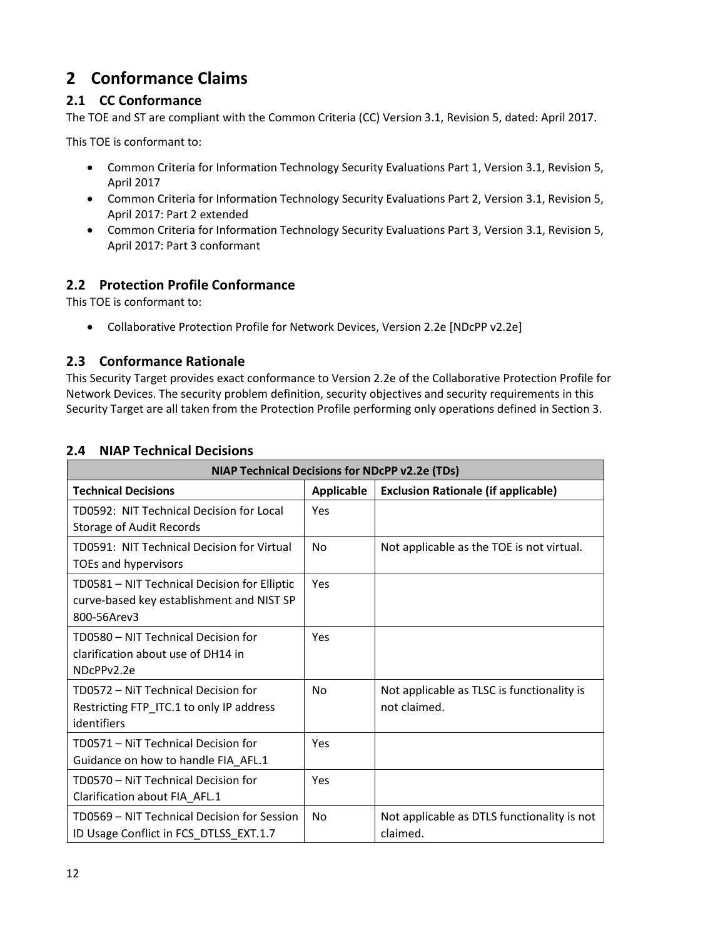# <span id="page-11-0"></span>**2 Conformance Claims**

# <span id="page-11-1"></span>**2.1 CC Conformance**

The TOE and ST are compliant with the Common Criteria (CC) Version 3.1, Revision 5, dated: April 2017.

This TOE is conformant to:

- Common Criteria for Information Technology Security Evaluations Part 1, Version 3.1, Revision 5, April 2017
- Common Criteria for Information Technology Security Evaluations Part 2, Version 3.1, Revision 5, April 2017: Part 2 extended
- Common Criteria for Information Technology Security Evaluations Part 3, Version 3.1, Revision 5, April 2017: Part 3 conformant

# <span id="page-11-2"></span>**2.2 Protection Profile Conformance**

This TOE is conformant to:

• Collaborative Protection Profile for Network Devices, Version 2.2e [NDcPP v2.2e]

# <span id="page-11-3"></span>**2.3 Conformance Rationale**

This Security Target provides exact conformance to Version 2.2e of the Collaborative Protection Profile for Network Devices. The security problem definition, security objectives and security requirements in this Security Target are all taken from the Protection Profile performing only operations defined in Section 3.

−

# <span id="page-11-4"></span>**2.4 NIAP Technical Decisions**

| <b>NIAP Technical Decisions for NDcPP v2.2e (TDs)</b>                                                    |                   |                                                            |
|----------------------------------------------------------------------------------------------------------|-------------------|------------------------------------------------------------|
| <b>Technical Decisions</b>                                                                               | <b>Applicable</b> | <b>Exclusion Rationale (if applicable)</b>                 |
| TD0592: NIT Technical Decision for Local<br><b>Storage of Audit Records</b>                              | Yes               |                                                            |
| <b>TD0591: NIT Technical Decision for Virtual</b><br>TOEs and hypervisors                                | <b>No</b>         | Not applicable as the TOE is not virtual.                  |
| TD0581 - NIT Technical Decision for Elliptic<br>curve-based key establishment and NIST SP<br>800-56Arev3 | Yes               |                                                            |
| TD0580 - NIT Technical Decision for<br>clarification about use of DH14 in<br>NDcPPv2.2e                  | Yes               |                                                            |
| TD0572 - NiT Technical Decision for<br>Restricting FTP_ITC.1 to only IP address<br>identifiers           | <b>No</b>         | Not applicable as TLSC is functionality is<br>not claimed. |
| TD0571 - NiT Technical Decision for<br>Guidance on how to handle FIA_AFL.1                               | Yes               |                                                            |
| TD0570 - NiT Technical Decision for<br>Clarification about FIA_AFL.1                                     | Yes               |                                                            |
| TD0569 - NIT Technical Decision for Session<br>ID Usage Conflict in FCS_DTLSS_EXT.1.7                    | No                | Not applicable as DTLS functionality is not<br>claimed.    |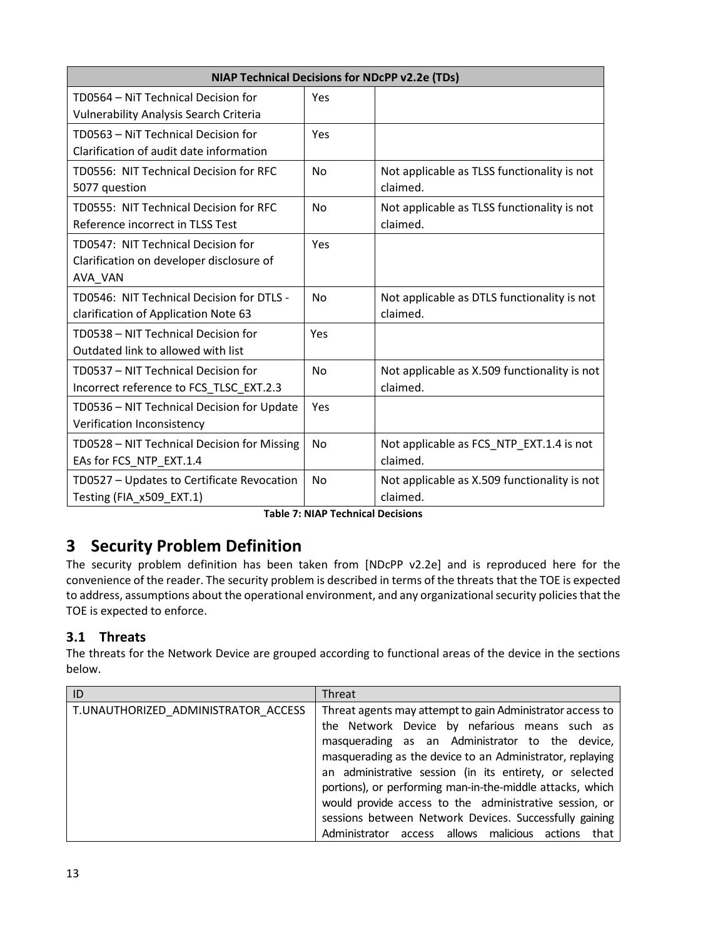| <b>NIAP Technical Decisions for NDcPP v2.2e (TDs)</b>                                     |           |                                                          |
|-------------------------------------------------------------------------------------------|-----------|----------------------------------------------------------|
| TD0564 - NiT Technical Decision for<br><b>Vulnerability Analysis Search Criteria</b>      | Yes       |                                                          |
| TD0563 - NiT Technical Decision for<br>Clarification of audit date information            | Yes       |                                                          |
| TD0556: NIT Technical Decision for RFC<br>5077 question                                   | <b>No</b> | Not applicable as TLSS functionality is not<br>claimed.  |
| TD0555: NIT Technical Decision for RFC<br>Reference incorrect in TLSS Test                | <b>No</b> | Not applicable as TLSS functionality is not<br>claimed.  |
| TD0547: NIT Technical Decision for<br>Clarification on developer disclosure of<br>AVA_VAN | Yes       |                                                          |
| TD0546: NIT Technical Decision for DTLS -<br>clarification of Application Note 63         | <b>No</b> | Not applicable as DTLS functionality is not<br>claimed.  |
| TD0538 - NIT Technical Decision for<br>Outdated link to allowed with list                 | Yes       |                                                          |
| TD0537 - NIT Technical Decision for<br>Incorrect reference to FCS_TLSC_EXT.2.3            | <b>No</b> | Not applicable as X.509 functionality is not<br>claimed. |
| TD0536 - NIT Technical Decision for Update<br><b>Verification Inconsistency</b>           | Yes       |                                                          |
| TD0528 - NIT Technical Decision for Missing<br>EAs for FCS_NTP_EXT.1.4                    | No        | Not applicable as FCS_NTP_EXT.1.4 is not<br>claimed.     |
| TD0527 - Updates to Certificate Revocation<br>Testing (FIA x509 EXT.1)                    | <b>No</b> | Not applicable as X.509 functionality is not<br>claimed. |

**Table 7: NIAP Technical Decisions**

# <span id="page-12-0"></span>**3 Security Problem Definition**

The security problem definition has been taken from [NDcPP v2.2e] and is reproduced here for the convenience of the reader. The security problem is described in terms of the threats that the TOE is expected to address, assumptions about the operational environment, and any organizational security policies that the TOE is expected to enforce.

# <span id="page-12-1"></span>**3.1 Threats**

The threats for the Network Device are grouped according to functional areas of the device in the sections below.

| ID                                  | <b>Threat</b>                                                                                                                                                                                                                                                                                                                                                                                                |
|-------------------------------------|--------------------------------------------------------------------------------------------------------------------------------------------------------------------------------------------------------------------------------------------------------------------------------------------------------------------------------------------------------------------------------------------------------------|
| T.UNAUTHORIZED ADMINISTRATOR ACCESS | Threat agents may attempt to gain Administrator access to<br>the Network Device by nefarious means such as<br>masquerading as an Administrator to the device,<br>masquerading as the device to an Administrator, replaying<br>an administrative session (in its entirety, or selected<br>portions), or performing man-in-the-middle attacks, which<br>would provide access to the administrative session, or |
|                                     | sessions between Network Devices. Successfully gaining<br>Administrator access allows malicious actions<br>that                                                                                                                                                                                                                                                                                              |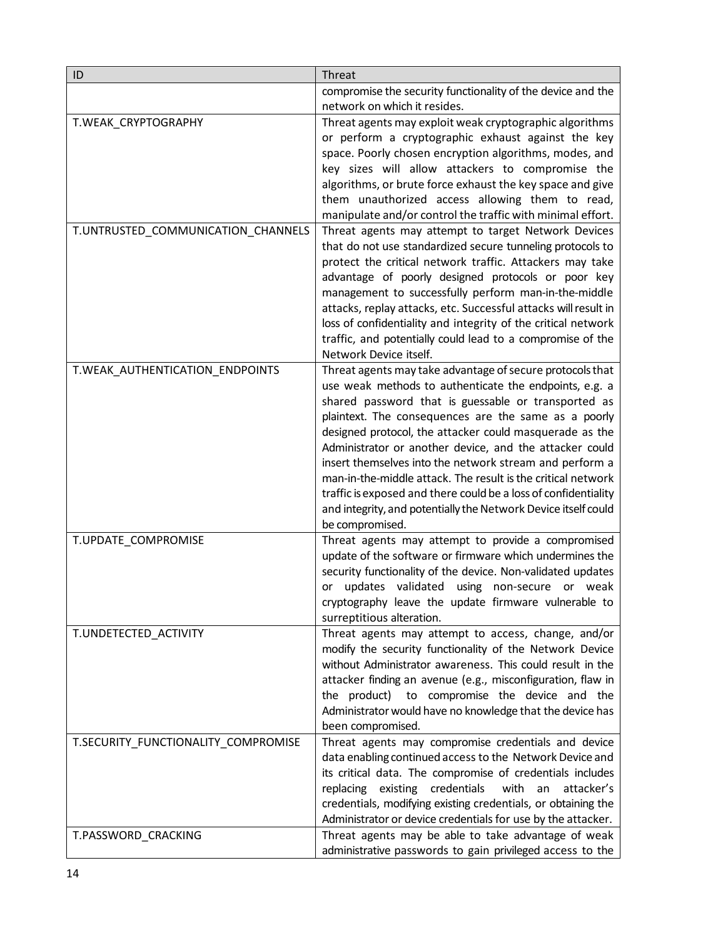| ID                                  | Threat                                                                                                                           |
|-------------------------------------|----------------------------------------------------------------------------------------------------------------------------------|
|                                     | compromise the security functionality of the device and the                                                                      |
|                                     | network on which it resides.                                                                                                     |
| T.WEAK_CRYPTOGRAPHY                 | Threat agents may exploit weak cryptographic algorithms                                                                          |
|                                     | or perform a cryptographic exhaust against the key                                                                               |
|                                     | space. Poorly chosen encryption algorithms, modes, and                                                                           |
|                                     | key sizes will allow attackers to compromise the                                                                                 |
|                                     | algorithms, or brute force exhaust the key space and give                                                                        |
|                                     | them unauthorized access allowing them to read,                                                                                  |
|                                     | manipulate and/or control the traffic with minimal effort.                                                                       |
| T.UNTRUSTED_COMMUNICATION_CHANNELS  | Threat agents may attempt to target Network Devices                                                                              |
|                                     | that do not use standardized secure tunneling protocols to                                                                       |
|                                     | protect the critical network traffic. Attackers may take                                                                         |
|                                     | advantage of poorly designed protocols or poor key                                                                               |
|                                     | management to successfully perform man-in-the-middle                                                                             |
|                                     | attacks, replay attacks, etc. Successful attacks will result in<br>loss of confidentiality and integrity of the critical network |
|                                     | traffic, and potentially could lead to a compromise of the                                                                       |
|                                     | Network Device itself.                                                                                                           |
| T.WEAK_AUTHENTICATION_ENDPOINTS     | Threat agents may take advantage of secure protocols that                                                                        |
|                                     | use weak methods to authenticate the endpoints, e.g. a                                                                           |
|                                     | shared password that is guessable or transported as                                                                              |
|                                     | plaintext. The consequences are the same as a poorly                                                                             |
|                                     | designed protocol, the attacker could masquerade as the                                                                          |
|                                     | Administrator or another device, and the attacker could                                                                          |
|                                     | insert themselves into the network stream and perform a                                                                          |
|                                     | man-in-the-middle attack. The result is the critical network<br>traffic is exposed and there could be a loss of confidentiality  |
|                                     | and integrity, and potentially the Network Device itself could                                                                   |
|                                     | be compromised.                                                                                                                  |
| T.UPDATE_COMPROMISE                 | Threat agents may attempt to provide a compromised                                                                               |
|                                     | update of the software or firmware which undermines the                                                                          |
|                                     | security functionality of the device. Non-validated updates                                                                      |
|                                     | updates validated using non-secure or weak<br>or                                                                                 |
|                                     | cryptography leave the update firmware vulnerable to                                                                             |
|                                     | surreptitious alteration.                                                                                                        |
| T.UNDETECTED_ACTIVITY               | Threat agents may attempt to access, change, and/or                                                                              |
|                                     | modify the security functionality of the Network Device                                                                          |
|                                     | without Administrator awareness. This could result in the                                                                        |
|                                     | attacker finding an avenue (e.g., misconfiguration, flaw in                                                                      |
|                                     | to compromise the device and the<br>the product)                                                                                 |
|                                     | Administrator would have no knowledge that the device has                                                                        |
|                                     | been compromised.                                                                                                                |
| T.SECURITY_FUNCTIONALITY_COMPROMISE | Threat agents may compromise credentials and device                                                                              |
|                                     | data enabling continued access to the Network Device and<br>its critical data. The compromise of credentials includes            |
|                                     | existing credentials<br>replacing<br>with an<br>attacker's                                                                       |
|                                     | credentials, modifying existing credentials, or obtaining the                                                                    |
|                                     | Administrator or device credentials for use by the attacker.                                                                     |
| T.PASSWORD_CRACKING                 | Threat agents may be able to take advantage of weak                                                                              |
|                                     | administrative passwords to gain privileged access to the                                                                        |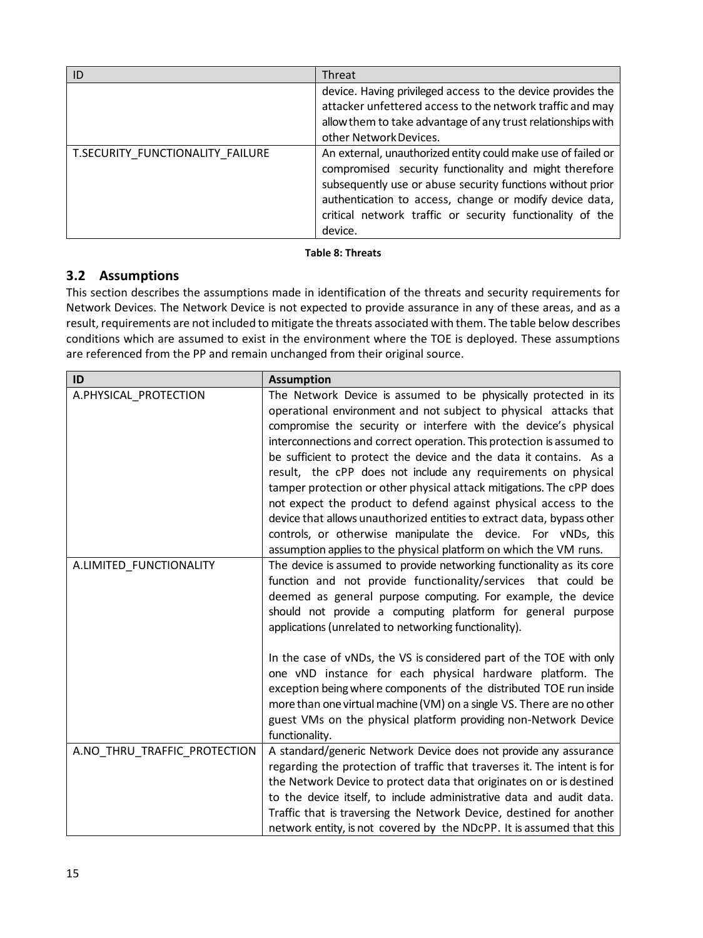| ID                               | Threat                                                                                                                                                                                                                                                                                                                  |
|----------------------------------|-------------------------------------------------------------------------------------------------------------------------------------------------------------------------------------------------------------------------------------------------------------------------------------------------------------------------|
|                                  | device. Having privileged access to the device provides the<br>attacker unfettered access to the network traffic and may<br>allow them to take advantage of any trust relationships with<br>other Network Devices.                                                                                                      |
| T.SECURITY FUNCTIONALITY FAILURE | An external, unauthorized entity could make use of failed or<br>compromised security functionality and might therefore<br>subsequently use or abuse security functions without prior<br>authentication to access, change or modify device data,<br>critical network traffic or security functionality of the<br>device. |

#### **Table 8: Threats**

# <span id="page-14-0"></span>**3.2 Assumptions**

This section describes the assumptions made in identification of the threats and security requirements for Network Devices. The Network Device is not expected to provide assurance in any of these areas, and as a result, requirements are not included to mitigate the threats associated with them. The table below describes conditions which are assumed to exist in the environment where the TOE is deployed. These assumptions are referenced from the PP and remain unchanged from their original source.

| ID                           | <b>Assumption</b>                                                        |
|------------------------------|--------------------------------------------------------------------------|
| A.PHYSICAL PROTECTION        | The Network Device is assumed to be physically protected in its          |
|                              | operational environment and not subject to physical attacks that         |
|                              | compromise the security or interfere with the device's physical          |
|                              | interconnections and correct operation. This protection is assumed to    |
|                              | be sufficient to protect the device and the data it contains. As a       |
|                              | result, the cPP does not include any requirements on physical            |
|                              | tamper protection or other physical attack mitigations. The cPP does     |
|                              | not expect the product to defend against physical access to the          |
|                              | device that allows unauthorized entities to extract data, bypass other   |
|                              | controls, or otherwise manipulate the device. For vNDs, this             |
|                              | assumption applies to the physical platform on which the VM runs.        |
| A.LIMITED_FUNCTIONALITY      | The device is assumed to provide networking functionality as its core    |
|                              | function and not provide functionality/services that could be            |
|                              | deemed as general purpose computing. For example, the device             |
|                              | should not provide a computing platform for general purpose              |
|                              | applications (unrelated to networking functionality).                    |
|                              |                                                                          |
|                              | In the case of vNDs, the VS is considered part of the TOE with only      |
|                              | one vND instance for each physical hardware platform. The                |
|                              | exception being where components of the distributed TOE run inside       |
|                              | more than one virtual machine (VM) on a single VS. There are no other    |
|                              | guest VMs on the physical platform providing non-Network Device          |
|                              | functionality.                                                           |
| A.NO_THRU_TRAFFIC_PROTECTION | A standard/generic Network Device does not provide any assurance         |
|                              | regarding the protection of traffic that traverses it. The intent is for |
|                              | the Network Device to protect data that originates on or is destined     |
|                              | to the device itself, to include administrative data and audit data.     |
|                              | Traffic that is traversing the Network Device, destined for another      |
|                              | network entity, is not covered by the NDcPP. It is assumed that this     |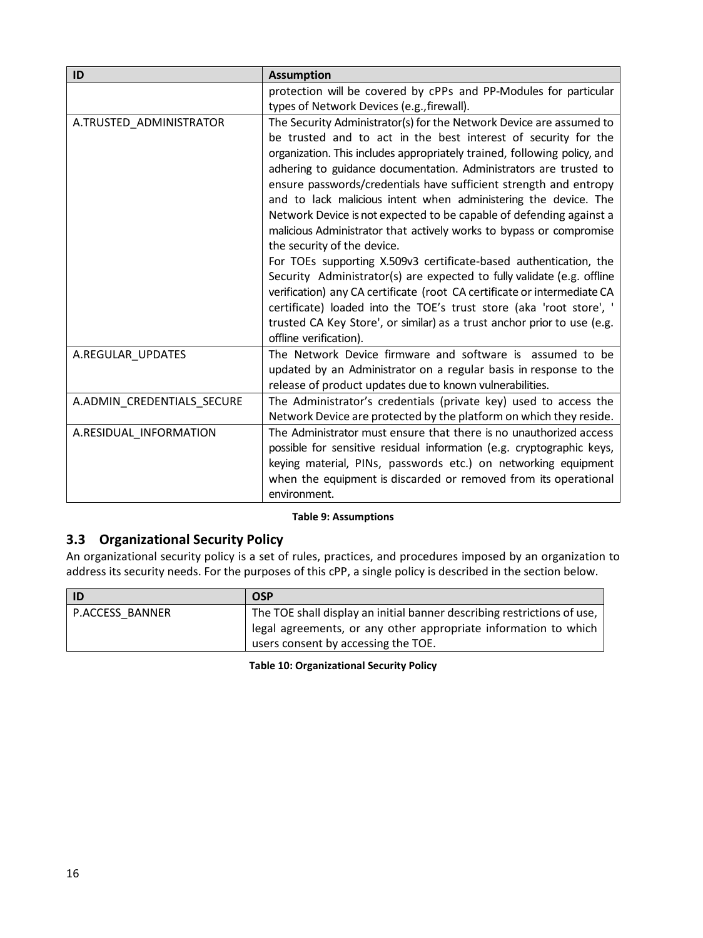| ID                         | <b>Assumption</b>                                                        |
|----------------------------|--------------------------------------------------------------------------|
|                            | protection will be covered by cPPs and PP-Modules for particular         |
|                            | types of Network Devices (e.g., firewall).                               |
| A.TRUSTED_ADMINISTRATOR    | The Security Administrator(s) for the Network Device are assumed to      |
|                            | be trusted and to act in the best interest of security for the           |
|                            | organization. This includes appropriately trained, following policy, and |
|                            | adhering to guidance documentation. Administrators are trusted to        |
|                            | ensure passwords/credentials have sufficient strength and entropy        |
|                            | and to lack malicious intent when administering the device. The          |
|                            | Network Device is not expected to be capable of defending against a      |
|                            | malicious Administrator that actively works to bypass or compromise      |
|                            | the security of the device.                                              |
|                            | For TOEs supporting X.509v3 certificate-based authentication, the        |
|                            | Security Administrator(s) are expected to fully validate (e.g. offline   |
|                            | verification) any CA certificate (root CA certificate or intermediate CA |
|                            | certificate) loaded into the TOE's trust store (aka 'root store', '      |
|                            | trusted CA Key Store', or similar) as a trust anchor prior to use (e.g.  |
|                            | offline verification).                                                   |
| A.REGULAR UPDATES          | The Network Device firmware and software is assumed to be                |
|                            | updated by an Administrator on a regular basis in response to the        |
|                            | release of product updates due to known vulnerabilities.                 |
| A.ADMIN_CREDENTIALS_SECURE | The Administrator's credentials (private key) used to access the         |
|                            | Network Device are protected by the platform on which they reside.       |
| A.RESIDUAL_INFORMATION     | The Administrator must ensure that there is no unauthorized access       |
|                            | possible for sensitive residual information (e.g. cryptographic keys,    |
|                            | keying material, PINs, passwords etc.) on networking equipment           |
|                            | when the equipment is discarded or removed from its operational          |
|                            | environment.                                                             |

#### **Table 9: Assumptions**

# <span id="page-15-0"></span>**3.3 Organizational Security Policy**

An organizational security policy is a set of rules, practices, and procedures imposed by an organization to address its security needs. For the purposes of this cPP, a single policy is described in the section below.

|                 | <b>OSP</b>                                                              |
|-----------------|-------------------------------------------------------------------------|
| P.ACCESS BANNER | The TOE shall display an initial banner describing restrictions of use, |
|                 | legal agreements, or any other appropriate information to which         |
|                 | users consent by accessing the TOE.                                     |

**Table 10: Organizational Security Policy**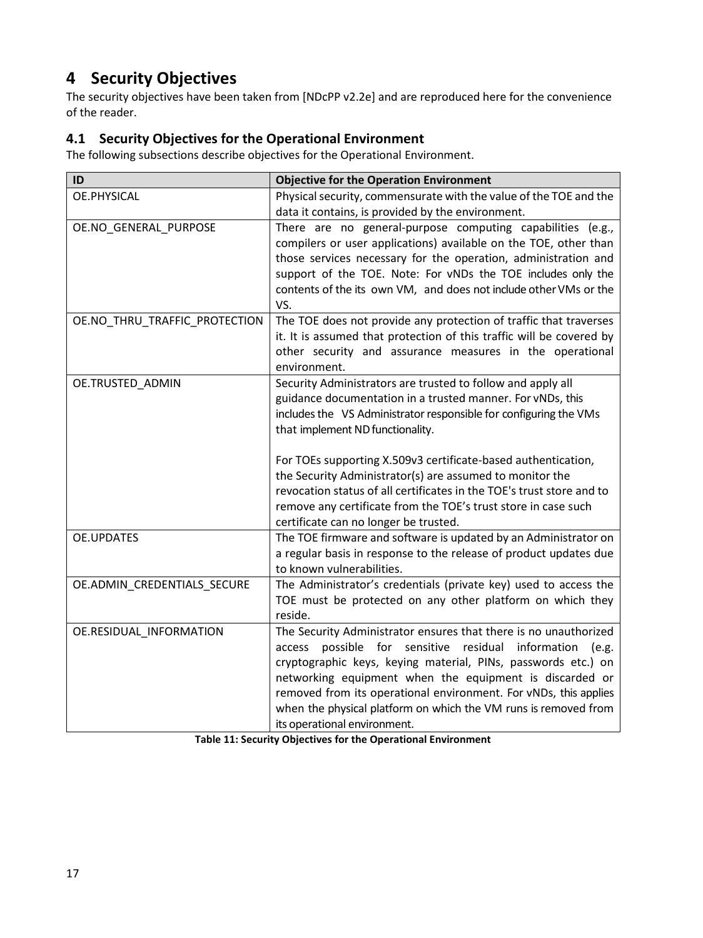# <span id="page-16-0"></span>**4 Security Objectives**

The security objectives have been taken from [NDcPP v2.2e] and are reproduced here for the convenience of the reader.

# <span id="page-16-1"></span>**4.1 Security Objectives for the Operational Environment**

The following subsections describe objectives for the Operational Environment.

| ID                            | <b>Objective for the Operation Environment</b>                                                                                            |
|-------------------------------|-------------------------------------------------------------------------------------------------------------------------------------------|
| <b>OE.PHYSICAL</b>            | Physical security, commensurate with the value of the TOE and the                                                                         |
|                               | data it contains, is provided by the environment.                                                                                         |
| OE.NO_GENERAL_PURPOSE         | There are no general-purpose computing capabilities (e.g.,                                                                                |
|                               | compilers or user applications) available on the TOE, other than                                                                          |
|                               | those services necessary for the operation, administration and                                                                            |
|                               | support of the TOE. Note: For vNDs the TOE includes only the                                                                              |
|                               | contents of the its own VM, and does not include other VMs or the<br>VS.                                                                  |
|                               |                                                                                                                                           |
| OE.NO_THRU_TRAFFIC_PROTECTION | The TOE does not provide any protection of traffic that traverses<br>it. It is assumed that protection of this traffic will be covered by |
|                               | other security and assurance measures in the operational                                                                                  |
|                               | environment.                                                                                                                              |
| OE.TRUSTED_ADMIN              | Security Administrators are trusted to follow and apply all                                                                               |
|                               | guidance documentation in a trusted manner. For vNDs, this                                                                                |
|                               | includes the VS Administrator responsible for configuring the VMs                                                                         |
|                               | that implement ND functionality.                                                                                                          |
|                               |                                                                                                                                           |
|                               | For TOEs supporting X.509v3 certificate-based authentication,                                                                             |
|                               | the Security Administrator(s) are assumed to monitor the                                                                                  |
|                               | revocation status of all certificates in the TOE's trust store and to                                                                     |
|                               | remove any certificate from the TOE's trust store in case such                                                                            |
| <b>OE.UPDATES</b>             | certificate can no longer be trusted.<br>The TOE firmware and software is updated by an Administrator on                                  |
|                               | a regular basis in response to the release of product updates due                                                                         |
|                               | to known vulnerabilities.                                                                                                                 |
| OE.ADMIN_CREDENTIALS_SECURE   | The Administrator's credentials (private key) used to access the                                                                          |
|                               | TOE must be protected on any other platform on which they                                                                                 |
|                               | reside.                                                                                                                                   |
| OE.RESIDUAL_INFORMATION       | The Security Administrator ensures that there is no unauthorized                                                                          |
|                               | possible for sensitive residual information<br>access<br>(e.g.                                                                            |
|                               | cryptographic keys, keying material, PINs, passwords etc.) on                                                                             |
|                               | networking equipment when the equipment is discarded or                                                                                   |
|                               | removed from its operational environment. For vNDs, this applies                                                                          |
|                               | when the physical platform on which the VM runs is removed from                                                                           |
|                               | its operational environment.                                                                                                              |

**Table 11: Security Objectives for the Operational Environment**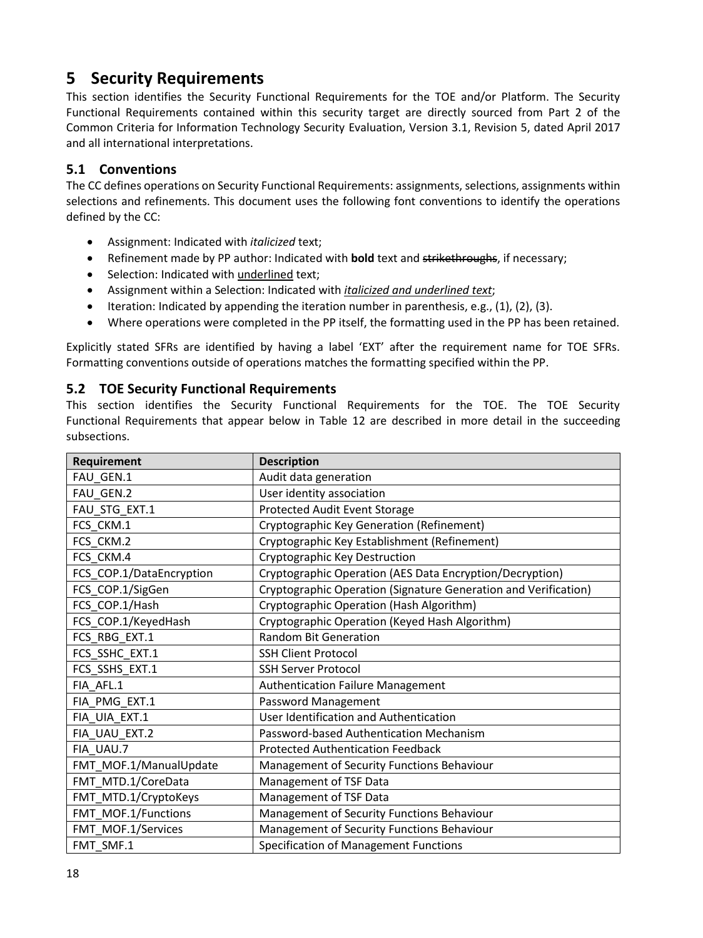# <span id="page-17-0"></span>**5 Security Requirements**

This section identifies the Security Functional Requirements for the TOE and/or Platform. The Security Functional Requirements contained within this security target are directly sourced from Part 2 of the Common Criteria for Information Technology Security Evaluation, Version 3.1, Revision 5, dated April 2017 and all international interpretations.

## <span id="page-17-1"></span>**5.1 Conventions**

The CC defines operations on Security Functional Requirements: assignments, selections, assignments within selections and refinements. This document uses the following font conventions to identify the operations defined by the CC:

- Assignment: Indicated with *italicized* text;
- Refinement made by PP author: Indicated with **bold** text and strikethroughs, if necessary;
- Selection: Indicated with underlined text;
- Assignment within a Selection: Indicated with *italicized and underlined text*;
- Iteration: Indicated by appending the iteration number in parenthesis, e.g.,  $(1)$ ,  $(2)$ ,  $(3)$ .
- Where operations were completed in the PP itself, the formatting used in the PP has been retained.

Explicitly stated SFRs are identified by having a label 'EXT' after the requirement name for TOE SFRs. Formatting conventions outside of operations matches the formatting specified within the PP.

#### <span id="page-17-2"></span>**5.2 TOE Security Functional Requirements**

This section identifies the Security Functional Requirements for the TOE. The TOE Security Functional Requirements that appear below in Table 12 are described in more detail in the succeeding subsections.

| Requirement              | <b>Description</b>                                              |
|--------------------------|-----------------------------------------------------------------|
| FAU_GEN.1                | Audit data generation                                           |
| FAU GEN.2                | User identity association                                       |
| FAU_STG_EXT.1            | <b>Protected Audit Event Storage</b>                            |
| FCS CKM.1                | Cryptographic Key Generation (Refinement)                       |
| FCS_CKM.2                | Cryptographic Key Establishment (Refinement)                    |
| FCS CKM.4                | Cryptographic Key Destruction                                   |
| FCS_COP.1/DataEncryption | Cryptographic Operation (AES Data Encryption/Decryption)        |
| FCS_COP.1/SigGen         | Cryptographic Operation (Signature Generation and Verification) |
| FCS_COP.1/Hash           | Cryptographic Operation (Hash Algorithm)                        |
| FCS_COP.1/KeyedHash      | Cryptographic Operation (Keyed Hash Algorithm)                  |
| FCS_RBG_EXT.1            | <b>Random Bit Generation</b>                                    |
| FCS SSHC EXT.1           | <b>SSH Client Protocol</b>                                      |
| FCS_SSHS_EXT.1           | <b>SSH Server Protocol</b>                                      |
| FIA AFL.1                | <b>Authentication Failure Management</b>                        |
| FIA_PMG_EXT.1            | Password Management                                             |
| FIA UIA EXT.1            | User Identification and Authentication                          |
| FIA_UAU_EXT.2            | Password-based Authentication Mechanism                         |
| FIA_UAU.7                | <b>Protected Authentication Feedback</b>                        |
| FMT_MOF.1/ManualUpdate   | Management of Security Functions Behaviour                      |
| FMT_MTD.1/CoreData       | Management of TSF Data                                          |
| FMT_MTD.1/CryptoKeys     | Management of TSF Data                                          |
| FMT_MOF.1/Functions      | Management of Security Functions Behaviour                      |
| FMT_MOF.1/Services       | Management of Security Functions Behaviour                      |
| FMT SMF.1                | <b>Specification of Management Functions</b>                    |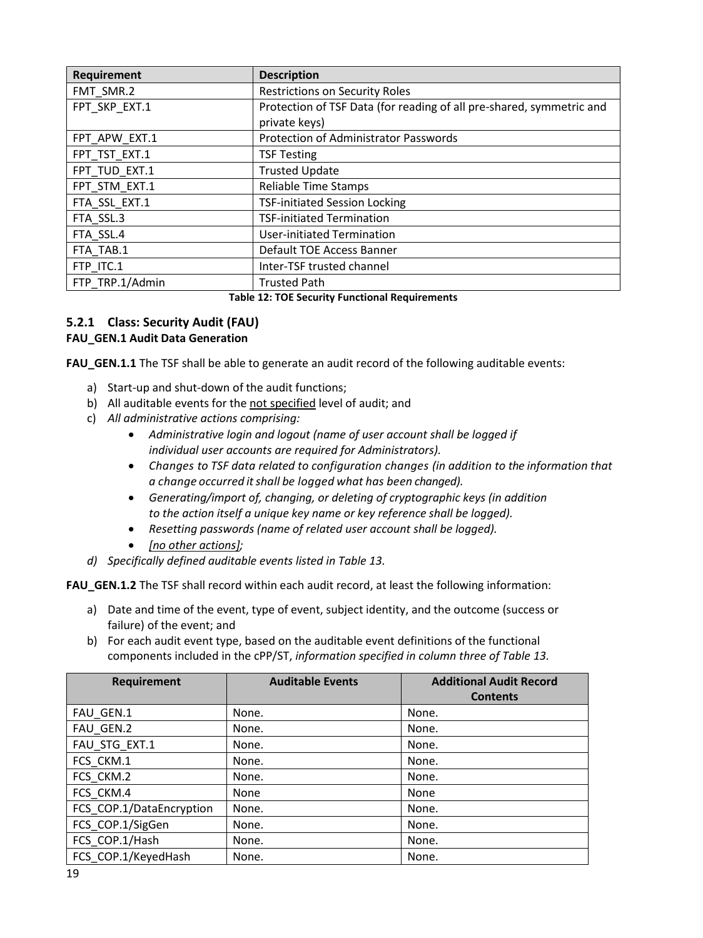| Requirement     | <b>Description</b>                                                   |
|-----------------|----------------------------------------------------------------------|
| FMT_SMR.2       | Restrictions on Security Roles                                       |
| FPT SKP EXT.1   | Protection of TSF Data (for reading of all pre-shared, symmetric and |
|                 | private keys)                                                        |
| FPT APW EXT.1   | <b>Protection of Administrator Passwords</b>                         |
| FPT_TST_EXT.1   | <b>TSF Testing</b>                                                   |
| FPT TUD EXT.1   | <b>Trusted Update</b>                                                |
| FPT STM EXT.1   | <b>Reliable Time Stamps</b>                                          |
| FTA SSL EXT.1   | <b>TSF-initiated Session Locking</b>                                 |
| FTA SSL.3       | <b>TSF-initiated Termination</b>                                     |
| FTA SSL.4       | <b>User-initiated Termination</b>                                    |
| FTA_TAB.1       | Default TOE Access Banner                                            |
| FTP ITC.1       | Inter-TSF trusted channel                                            |
| FTP TRP.1/Admin | <b>Trusted Path</b>                                                  |

**Table 12: TOE Security Functional Requirements**

#### <span id="page-18-0"></span>**5.2.1 Class: Security Audit (FAU)**

#### **FAU\_GEN.1 Audit Data Generation**

**FAU\_GEN.1.1** The TSF shall be able to generate an audit record of the following auditable events:

- a) Start-up and shut-down of the audit functions;
- b) All auditable events for the not specified level of audit; and
- c) *All administrative actions comprising:*
	- *Administrative login and logout (name of user account shall be logged if individual user accounts are required for Administrators).*
	- *Changes to TSF data related to configuration changes (in addition to the information that a change occurred itshall be logged what has been changed).*
	- *Generating/import of, changing, or deleting of cryptographic keys (in addition to the action itself a unique key name or key reference shall be logged).*
	- *Resetting passwords (name of related user account shall be logged).*
	- *[no other actions];*
- *d) Specifically defined auditable events listed in Table 13.*

**FAU\_GEN.1.2** The TSF shall record within each audit record, at least the following information:

- a) Date and time of the event, type of event, subject identity, and the outcome (success or failure) of the event; and
- b) For each audit event type, based on the auditable event definitions of the functional components included in the cPP/ST, *information specified in column three of Table 13.*

| Requirement              | <b>Auditable Events</b> | <b>Additional Audit Record</b> |
|--------------------------|-------------------------|--------------------------------|
|                          |                         | <b>Contents</b>                |
| FAU_GEN.1                | None.                   | None.                          |
| FAU_GEN.2                | None.                   | None.                          |
| FAU STG EXT.1            | None.                   | None.                          |
| FCS CKM.1                | None.                   | None.                          |
| FCS CKM.2                | None.                   | None.                          |
| FCS CKM.4                | None                    | None                           |
| FCS COP.1/DataEncryption | None.                   | None.                          |
| FCS_COP.1/SigGen         | None.                   | None.                          |
| FCS COP.1/Hash           | None.                   | None.                          |
| FCS_COP.1/KeyedHash      | None.                   | None.                          |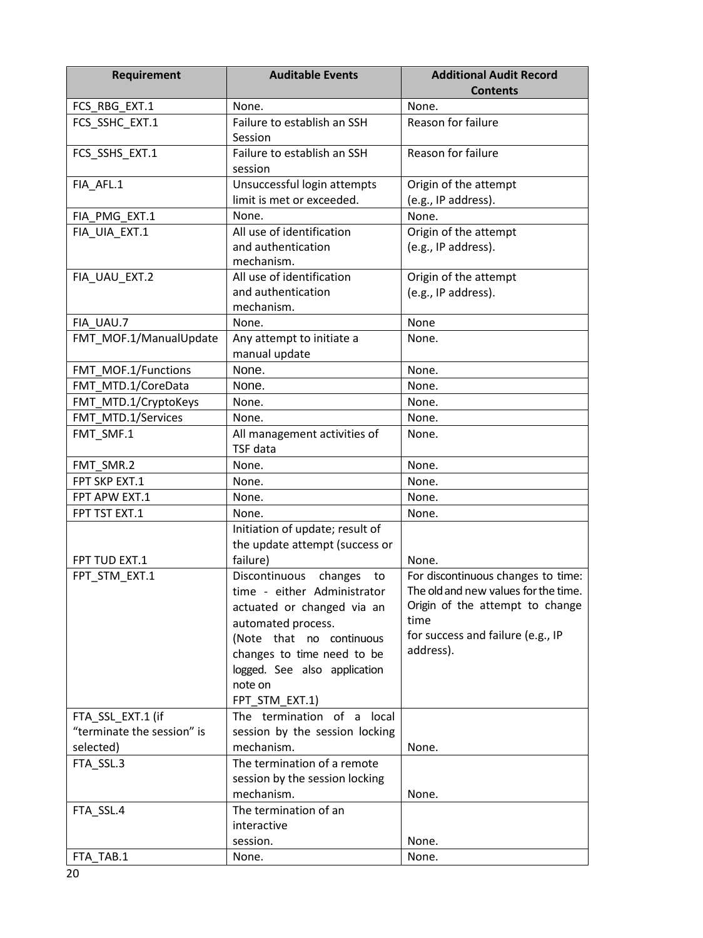| Requirement                                                  | <b>Auditable Events</b>                                                                                                                                                                                                                  | <b>Additional Audit Record</b><br><b>Contents</b>                                                                                                                       |
|--------------------------------------------------------------|------------------------------------------------------------------------------------------------------------------------------------------------------------------------------------------------------------------------------------------|-------------------------------------------------------------------------------------------------------------------------------------------------------------------------|
| FCS RBG EXT.1                                                | None.                                                                                                                                                                                                                                    | None.                                                                                                                                                                   |
| FCS_SSHC_EXT.1                                               | Failure to establish an SSH<br>Session                                                                                                                                                                                                   | Reason for failure                                                                                                                                                      |
| FCS_SSHS_EXT.1                                               | Reason for failure<br>Failure to establish an SSH<br>session                                                                                                                                                                             |                                                                                                                                                                         |
| FIA AFL.1                                                    | Unsuccessful login attempts<br>limit is met or exceeded.                                                                                                                                                                                 | Origin of the attempt<br>(e.g., IP address).                                                                                                                            |
| FIA PMG EXT.1                                                | None.                                                                                                                                                                                                                                    | None.                                                                                                                                                                   |
| FIA_UIA_EXT.1                                                | All use of identification<br>and authentication<br>mechanism.                                                                                                                                                                            | Origin of the attempt<br>(e.g., IP address).                                                                                                                            |
| FIA_UAU_EXT.2                                                | All use of identification<br>and authentication<br>mechanism.                                                                                                                                                                            | Origin of the attempt<br>(e.g., IP address).                                                                                                                            |
| FIA UAU.7                                                    | None.                                                                                                                                                                                                                                    | None                                                                                                                                                                    |
| FMT MOF.1/ManualUpdate                                       | Any attempt to initiate a<br>manual update                                                                                                                                                                                               | None.                                                                                                                                                                   |
| FMT MOF.1/Functions                                          | None.                                                                                                                                                                                                                                    | None.                                                                                                                                                                   |
| FMT_MTD.1/CoreData                                           | None.                                                                                                                                                                                                                                    | None.                                                                                                                                                                   |
| FMT_MTD.1/CryptoKeys                                         | None.                                                                                                                                                                                                                                    | None.                                                                                                                                                                   |
| FMT_MTD.1/Services                                           | None.                                                                                                                                                                                                                                    | None.                                                                                                                                                                   |
| FMT SMF.1                                                    | All management activities of<br><b>TSF</b> data                                                                                                                                                                                          | None.                                                                                                                                                                   |
| FMT_SMR.2                                                    | None.                                                                                                                                                                                                                                    | None.                                                                                                                                                                   |
| FPT SKP EXT.1                                                | None.                                                                                                                                                                                                                                    | None.                                                                                                                                                                   |
| FPT APW EXT.1                                                | None.                                                                                                                                                                                                                                    | None.                                                                                                                                                                   |
| FPT TST EXT.1                                                | None.                                                                                                                                                                                                                                    | None.                                                                                                                                                                   |
| FPT TUD EXT.1                                                | Initiation of update; result of<br>the update attempt (success or<br>failure)                                                                                                                                                            | None.                                                                                                                                                                   |
| FPT_STM_EXT.1                                                | Discontinuous<br>changes<br>to<br>time - either Administrator<br>actuated or changed via an<br>automated process.<br>(Note that no continuous<br>changes to time need to be<br>logged. See also application<br>note on<br>FPT STM EXT.1) | For discontinuous changes to time:<br>The old and new values for the time.<br>Origin of the attempt to change<br>time<br>for success and failure (e.g., IP<br>address). |
| FTA_SSL_EXT.1 (if<br>"terminate the session" is<br>selected) | The termination of a local<br>session by the session locking<br>mechanism.                                                                                                                                                               | None.                                                                                                                                                                   |
| FTA_SSL.3                                                    | The termination of a remote<br>session by the session locking<br>mechanism.                                                                                                                                                              | None.                                                                                                                                                                   |
| FTA_SSL.4                                                    | The termination of an<br>interactive<br>session.                                                                                                                                                                                         | None.                                                                                                                                                                   |
| FTA TAB.1                                                    | None.                                                                                                                                                                                                                                    | None.                                                                                                                                                                   |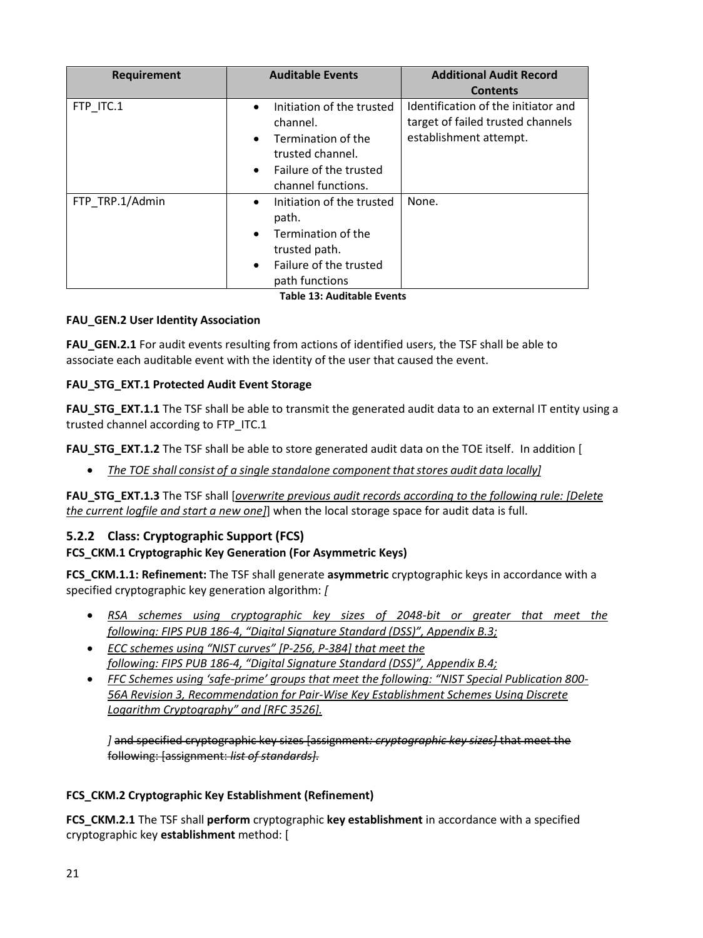| Requirement     | <b>Auditable Events</b>                                                                                                                                      | <b>Additional Audit Record</b><br><b>Contents</b>                                                  |
|-----------------|--------------------------------------------------------------------------------------------------------------------------------------------------------------|----------------------------------------------------------------------------------------------------|
| FTP ITC.1       | Initiation of the trusted<br>$\bullet$<br>channel.<br>Termination of the<br>$\bullet$<br>trusted channel.<br>• Failure of the trusted<br>channel functions.  | Identification of the initiator and<br>target of failed trusted channels<br>establishment attempt. |
| FTP_TRP.1/Admin | Initiation of the trusted<br>$\bullet$<br>path.<br>Termination of the<br>$\bullet$<br>trusted path.<br>Failure of the trusted<br>$\bullet$<br>path functions | None.                                                                                              |

#### **Table 13: Auditable Events**

#### **FAU\_GEN.2 User Identity Association**

**FAU GEN.2.1** For audit events resulting from actions of identified users, the TSF shall be able to associate each auditable event with the identity of the user that caused the event.

#### **FAU\_STG\_EXT.1 Protected Audit Event Storage**

**FAU\_STG\_EXT.1.1** The TSF shall be able to transmit the generated audit data to an external IT entity using a trusted channel according to FTP\_ITC.1

**FAU STG EXT.1.2** The TSF shall be able to store generated audit data on the TOE itself. In addition [

• *The TOE shall consist of a single standalone componentthatstores audit data locally]*

**FAU\_STG\_EXT.1.3** The TSF shall [*overwrite previous audit records according to the following rule: [Delete the current logfile and start a new one]*] when the local storage space for audit data is full.

#### <span id="page-20-0"></span>**5.2.2 Class: Cryptographic Support (FCS)**

#### **FCS\_CKM.1 Cryptographic Key Generation (For Asymmetric Keys)**

**FCS CKM.1.1: Refinement:** The TSF shall generate **asymmetric** cryptographic keys in accordance with a specified cryptographic key generation algorithm: *[*

- *RSA schemes using cryptographic key sizes of 2048-bit or greater that meet the following: FIPS PUB 186-4, "Digital Signature Standard (DSS)", Appendix B.3;*
- *ECC schemes using "NIST curves" [P-256, P-384] that meet the following: FIPS PUB 186-4, "Digital Signature Standard (DSS)", Appendix B.4;*
- *FFC Schemes using 'safe-prime' groups that meet the following: "NIST Special Publication 800- 56A Revision 3, Recommendation for Pair-Wise Key Establishment Schemes Using Discrete Logarithm Cryptography" and [RFC 3526].*

*]* and specified cryptographic key sizes [assignment*: cryptographic key sizes]* that meet the following: [assignment: *list of standards].*

#### **FCS\_CKM.2 Cryptographic Key Establishment (Refinement)**

**FCS\_CKM.2.1** The TSF shall **perform** cryptographic **key establishment** in accordance with a specified cryptographic key **establishment** method: [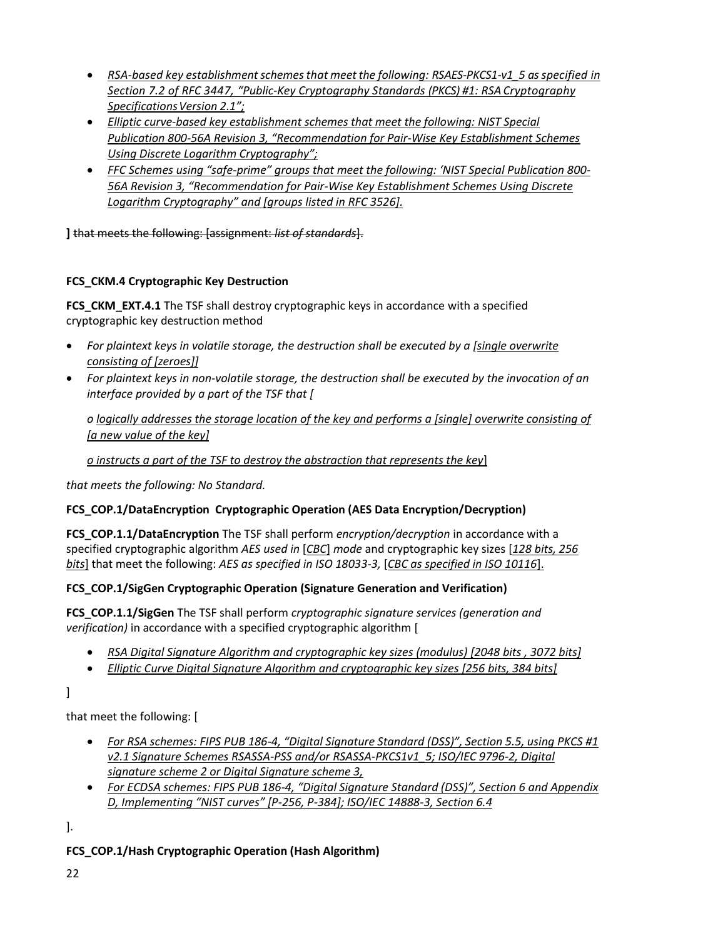- *RSA-based key establishmentschemesthat meetthe following: RSAES-PKCS1-v1\_5 as specified in Section 7.2 of RFC 3447, "Public-Key Cryptography Standards (PKCS) #1: RSA Cryptography SpecificationsVersion 2.1";*
- *Elliptic curve-based key establishment schemes that meet the following: NIST Special Publication 800-56A Revision 3, "Recommendation for Pair-Wise Key Establishment Schemes Using Discrete Logarithm Cryptography";*
- *FFC Schemes using "safe-prime" groups that meet the following: 'NIST Special Publication 800- 56A Revision 3, "Recommendation for Pair-Wise Key Establishment Schemes Using Discrete Logarithm Cryptography" and [groups listed in RFC 3526].*

**]** that meets the following: [assignment: *list of standards*].

## **FCS\_CKM.4 Cryptographic Key Destruction**

**FCS CKM EXT.4.1** The TSF shall destroy cryptographic keys in accordance with a specified cryptographic key destruction method

- *For plaintext keys in volatile storage, the destruction shall be executed by a [single overwrite consisting of [zeroes]]*
- *For plaintext keys in non-volatile storage, the destruction shall be executed by the invocation of an interface provided by a part of the TSF that [*

*o logically addresses the storage location of the key and performs a [single] overwrite consisting of [a new value of the key]*

*o instructs a part of the TSF to destroy the abstraction that represents the key*]

*that meets the following: No Standard.*

#### **FCS\_COP.1/DataEncryption Cryptographic Operation (AES Data Encryption/Decryption)**

**FCS\_COP.1.1/DataEncryption** The TSF shall perform *encryption/decryption* in accordance with a specified cryptographic algorithm *AES used in* [*CBC*] *mode* and cryptographic key sizes [*128 bits, 256 bits*] that meet the following: *AES as specified in ISO 18033-3,* [*CBC as specified in ISO 10116*].

#### **FCS\_COP.1/SigGen Cryptographic Operation (Signature Generation and Verification)**

**FCS\_COP.1.1/SigGen** The TSF shall perform *cryptographic signature services (generation and verification)* in accordance with a specified cryptographic algorithm [

- *RSA Digital Signature Algorithm and cryptographic key sizes (modulus) [2048 bits , 3072 bits]*
- *Elliptic Curve Digital Signature Algorithm and cryptographic key sizes [256 bits, 384 bits]*

#### ]

that meet the following: [

- *For RSA schemes: FIPS PUB 186-4, "Digital Signature Standard (DSS)", Section 5.5, using PKCS #1 v2.1 Signature Schemes RSASSA-PSS and/or RSASSA-PKCS1v1\_5; ISO/IEC 9796-2, Digital signature scheme 2 or Digital Signature scheme 3,*
- *For ECDSA schemes: FIPS PUB 186-4, "Digital Signature Standard (DSS)", Section 6 and Appendix D, Implementing "NIST curves" [P-256, P-384]; ISO/IEC 14888-3, Section 6.4*

].

#### **FCS\_COP.1/Hash Cryptographic Operation (Hash Algorithm)**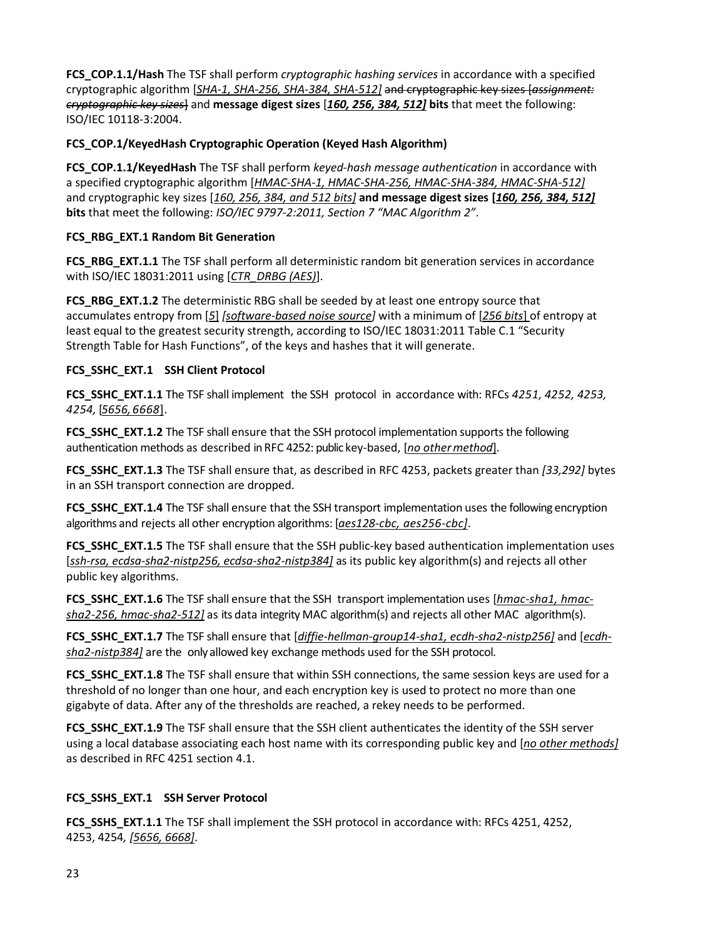**FCS\_COP.1.1/Hash** The TSF shall perform *cryptographic hashing services* in accordance with a specified cryptographic algorithm [*SHA-1, SHA-256, SHA-384, SHA-512]* and cryptographic key sizes [*assignment: cryptographic key sizes*] and **message digest sizes** [*160, 256, 384, 512]* **bits** that meet the following: ISO/IEC 10118-3:2004.

#### **FCS\_COP.1/KeyedHash Cryptographic Operation (Keyed Hash Algorithm)**

**FCS\_COP.1.1/KeyedHash** The TSF shall perform *keyed-hash message authentication* in accordance with a specified cryptographic algorithm [*HMAC-SHA-1, HMAC-SHA-256, HMAC-SHA-384, HMAC-SHA-512]* and cryptographic key sizes [*160, 256, 384, and 512 bits]* **and message digest sizes [***160, 256, 384, 512]* **bits** that meet the following: *ISO/IEC 9797-2:2011, Section 7 "MAC Algorithm 2"*.

#### **FCS\_RBG\_EXT.1 Random Bit Generation**

FCS\_RBG\_EXT.1.1 The TSF shall perform all deterministic random bit generation services in accordance with ISO/IEC 18031:2011 using [*CTR\_DRBG (AES)*].

FCS\_RBG\_EXT.1.2 The deterministic RBG shall be seeded by at least one entropy source that accumulates entropy from [*5*] *[software-based noise source]* with a minimum of [*256 bits*] of entropy at least equal to the greatest security strength, according to ISO/IEC 18031:2011 Table C.1 "Security Strength Table for Hash Functions", of the keys and hashes that it will generate.

#### **FCS\_SSHC\_EXT.1 SSH Client Protocol**

**FCS\_SSHC\_EXT.1.1** The TSF shall implement the SSH protocol in accordance with: RFCs *4251, 4252, 4253, 4254,* [*5656, 6668*].

**FCS SSHC EXT.1.2** The TSF shall ensure that the SSH protocol implementation supports the following authentication methods as described in RFC 4252: public key-based, [*no othermethod*].

**FCS\_SSHC\_EXT.1.3** The TSF shall ensure that, as described in RFC 4253, packets greater than *[33,292]* bytes in an SSH transport connection are dropped.

**FCS\_SSHC\_EXT.1.4** The TSF shall ensure that the SSH transport implementation uses the following encryption algorithms and rejects all other encryption algorithms: [*aes128-cbc, aes256-cbc]*.

**FCS\_SSHC\_EXT.1.5** The TSF shall ensure that the SSH public-key based authentication implementation uses [*ssh-rsa, ecdsa-sha2-nistp256, ecdsa-sha2-nistp384]* as its public key algorithm(s) and rejects all other public key algorithms.

**FCS\_SSHC\_EXT.1.6** The TSF shall ensure that the SSH transport implementation uses [*hmac-sha1, hmacsha2-256, hmac-sha2-512]* as its data integrity MAC algorithm(s) and rejects all other MAC algorithm(s).

**FCS\_SSHC\_EXT.1.7** The TSF shall ensure that [*diffie-hellman-group14-sha1, ecdh-sha2-nistp256]* and [*ecdhsha2-nistp384]* are the only allowed key exchange methods used for the SSH protocol.

**FCS\_SSHC\_EXT.1.8** The TSF shall ensure that within SSH connections, the same session keys are used for a threshold of no longer than one hour, and each encryption key is used to protect no more than one gigabyte of data. After any of the thresholds are reached, a rekey needs to be performed.

**FCS SSHC EXT.1.9** The TSF shall ensure that the SSH client authenticates the identity of the SSH server using a local database associating each host name with its corresponding public key and [*no other methods]* as described in RFC 4251 section 4.1.

#### **FCS\_SSHS\_EXT.1 SSH Server Protocol**

**FCS SSHS EXT.1.1** The TSF shall implement the SSH protocol in accordance with: RFCs 4251, 4252, 4253, 4254*, [5656, 6668]*.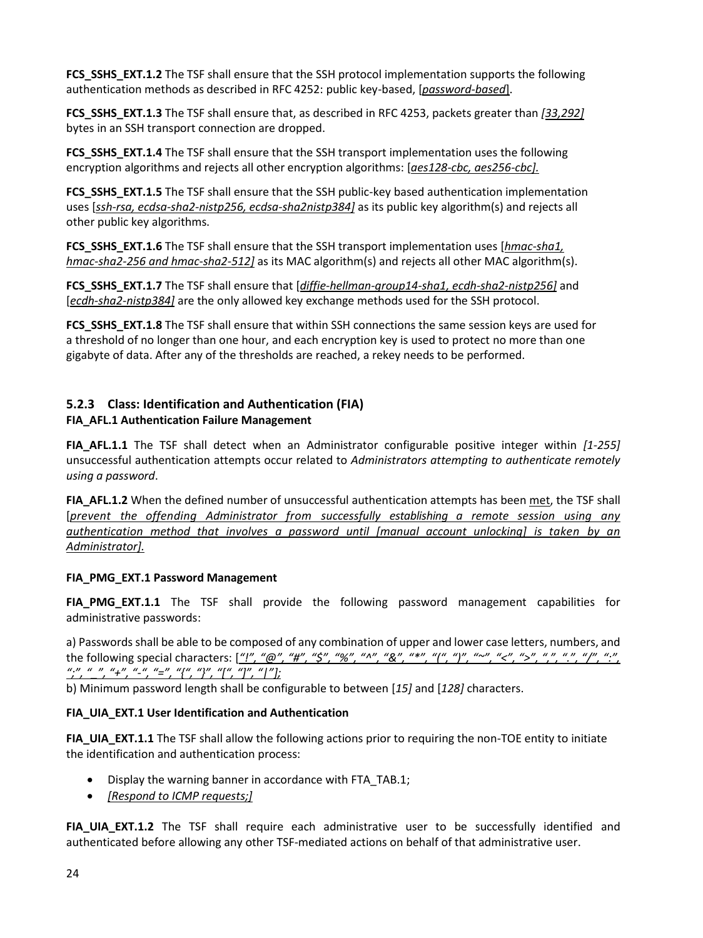**FCS SSHS EXT.1.2** The TSF shall ensure that the SSH protocol implementation supports the following authentication methods as described in RFC 4252: public key-based, [*password-based*].

**FCS SSHS EXT.1.3** The TSF shall ensure that, as described in RFC 4253, packets greater than *[33,292]* bytes in an SSH transport connection are dropped.

**FCS SSHS EXT.1.4** The TSF shall ensure that the SSH transport implementation uses the following encryption algorithms and rejects all other encryption algorithms: [*aes128-cbc, aes256-cbc].*

**FCS SSHS EXT.1.5** The TSF shall ensure that the SSH public-key based authentication implementation uses [*ssh-rsa, ecdsa-sha2-nistp256, ecdsa-sha2nistp384]* as its public key algorithm(s) and rejects all other public key algorithms.

**FCS\_SSHS\_EXT.1.6** The TSF shall ensure that the SSH transport implementation uses [*hmac-sha1, hmac-sha2-256 and hmac-sha2-512]* as its MAC algorithm(s) and rejects all other MAC algorithm(s).

**FCS\_SSHS\_EXT.1.7** The TSF shall ensure that [*diffie-hellman-group14-sha1, ecdh-sha2-nistp256]* and [*ecdh-sha2-nistp384]* are the only allowed key exchange methods used for the SSH protocol.

**FCS SSHS EXT.1.8** The TSF shall ensure that within SSH connections the same session keys are used for a threshold of no longer than one hour, and each encryption key is used to protect no more than one gigabyte of data. After any of the thresholds are reached, a rekey needs to be performed.

# <span id="page-23-0"></span>**5.2.3 Class: Identification and Authentication (FIA)**

#### **FIA\_AFL.1 Authentication Failure Management**

**FIA\_AFL.1.1** The TSF shall detect when an Administrator configurable positive integer within *[1-255]* unsuccessful authentication attempts occur related to *Administrators attempting to authenticate remotely using a password*.

**FIA\_AFL.1.2** When the defined number of unsuccessful authentication attempts has been met, the TSF shall [*prevent the offending Administrator from successfully establishing a remote session using any authentication method that involves a password until [manual account unlocking] is taken by an Administrator].* 

#### **FIA\_PMG\_EXT.1 Password Management**

**FIA PMG EXT.1.1** The TSF shall provide the following password management capabilities for administrative passwords:

a) Passwords shall be able to be composed of any combination of upper and lower case letters, numbers, and the following special characters: [*"!", "@", "#", "\$", "%", "^", "&", "\*", "(", ")", "~", "<", ">", ",", ".", "/", ":", ";", "\_", "+", "-", "=", "{", "}", "[", "]", "|"];*

b) Minimum password length shall be configurable to between [*15]* and [*128]* characters.

#### **FIA\_UIA\_EXT.1 User Identification and Authentication**

**FIA\_UIA\_EXT.1.1** The TSF shall allow the following actions prior to requiring the non-TOE entity to initiate the identification and authentication process:

- Display the warning banner in accordance with FTA TAB.1;
- *[Respond to ICMP requests;]*

**FIA\_UIA\_EXT.1.2** The TSF shall require each administrative user to be successfully identified and authenticated before allowing any other TSF-mediated actions on behalf of that administrative user.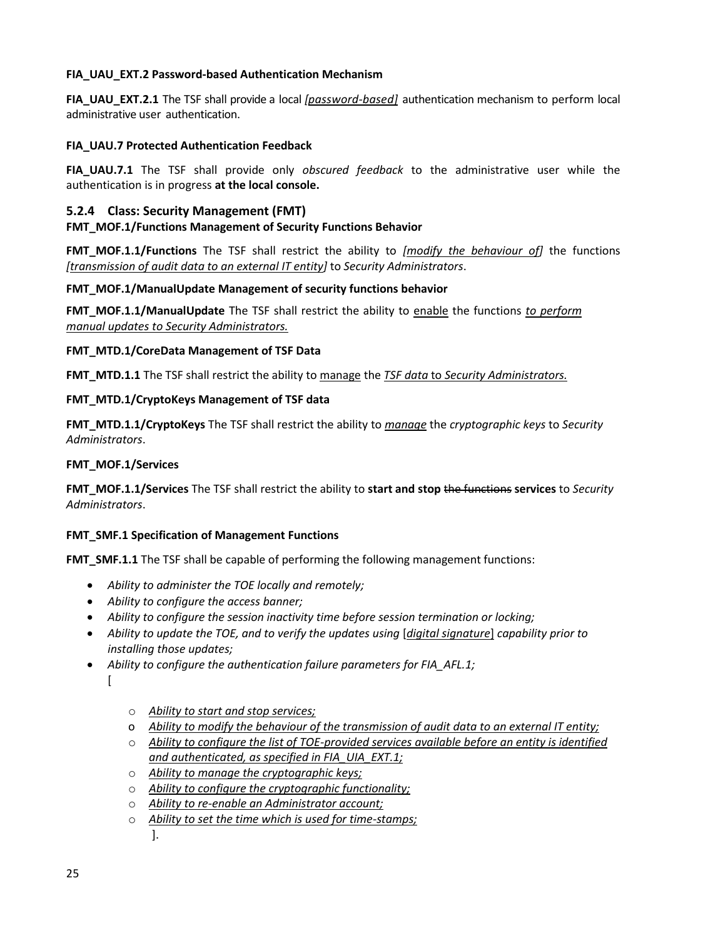#### **FIA\_UAU\_EXT.2 Password-based Authentication Mechanism**

**FIA\_UAU\_EXT.2.1** The TSF shall provide a local *[password-based]* authentication mechanism to perform local administrative user authentication.

#### **FIA\_UAU.7 Protected Authentication Feedback**

**FIA\_UAU.7.1** The TSF shall provide only *obscured feedback* to the administrative user while the authentication is in progress **at the local console.**

#### <span id="page-24-0"></span>**5.2.4 Class: Security Management (FMT)**

#### **FMT\_MOF.1/Functions Management of Security Functions Behavior**

**FMT\_MOF.1.1/Functions** The TSF shall restrict the ability to *[modify the behaviour of]* the functions *[transmission of audit data to an external IT entity]* to *Security Administrators*.

#### **FMT\_MOF.1/ManualUpdate Management of security functions behavior**

**FMT\_MOF.1.1/ManualUpdate** The TSF shall restrict the ability to enable the functions *to perform manual updates to Security Administrators.* 

#### **FMT\_MTD.1/CoreData Management of TSF Data**

**FMT\_MTD.1.1** The TSF shall restrict the ability to manage the *TSF data* to *Security Administrators.*

#### **FMT\_MTD.1/CryptoKeys Management of TSF data**

**FMT\_MTD.1.1/CryptoKeys** The TSF shall restrict the ability to *manage* the *cryptographic keys* to *Security Administrators*.

#### **FMT\_MOF.1/Services**

**FMT\_MOF.1.1/Services** The TSF shall restrict the ability to **start and stop** the functions **services** to *Security Administrators*.

#### **FMT\_SMF.1 Specification of Management Functions**

**FMT\_SMF.1.1** The TSF shall be capable of performing the following management functions:

- *Ability to administer the TOE locally and remotely;*
- *Ability to configure the access banner;*
- *Ability to configure the session inactivity time before session termination or locking;*
- Ability to update the TOE, and to verify the updates using [*digital signature*] *capability prior to installing those updates;*
- *Ability to configure the authentication failure parameters for FIA\_AFL.1;*   $\sqrt{2}$ 
	- o *Ability to start and stop services;*
	- o *Ability to modify the behaviour of the transmission of audit data to an external IT entity;*
	- o *Ability to configure the list of TOE-provided services available before an entity is identified and authenticated, as specified in FIA\_UIA\_EXT.1;*
	- o *Ability to manage the cryptographic keys;*
	- o *Ability to configure the cryptographic functionality;*
	- o *Ability to re-enable an Administrator account;*
	- o *Ability to set the time which is used for time-stamps;*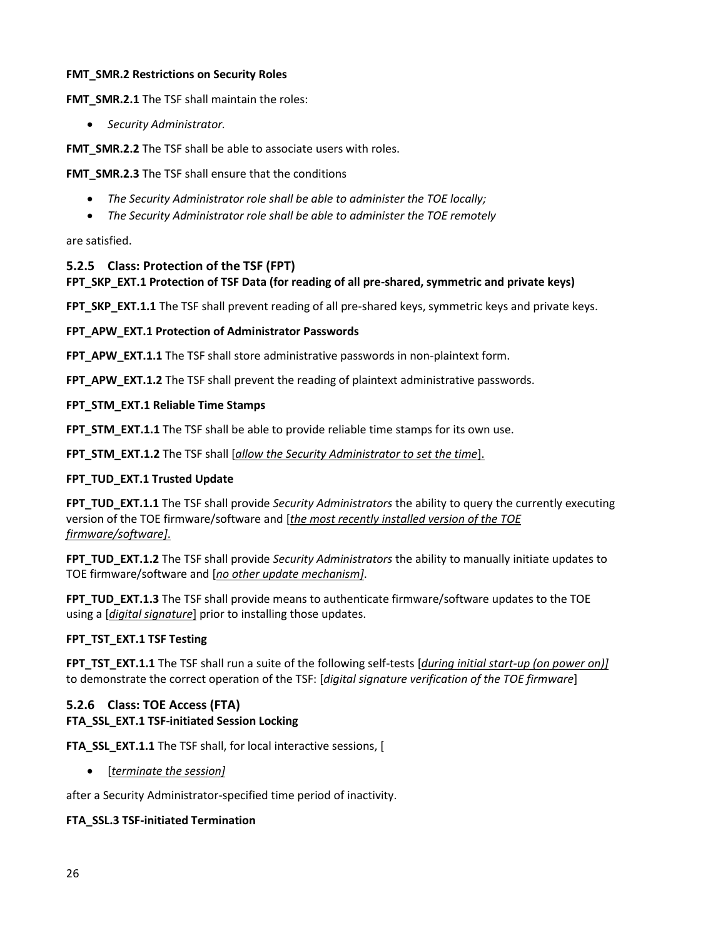#### **FMT\_SMR.2 Restrictions on Security Roles**

**FMT\_SMR.2.1** The TSF shall maintain the roles:

• *Security Administrator.*

**FMT\_SMR.2.2** The TSF shall be able to associate users with roles.

FMT SMR.2.3 The TSF shall ensure that the conditions

- *The Security Administrator role shall be able to administer the TOE locally;*
- *The Security Administrator role shall be able to administer the TOE remotely*

are satisfied.

#### <span id="page-25-0"></span>**5.2.5 Class: Protection of the TSF (FPT)**

#### **FPT\_SKP\_EXT.1 Protection of TSF Data (for reading of all pre-shared, symmetric and private keys)**

FPT\_SKP\_EXT.1.1 The TSF shall prevent reading of all pre-shared keys, symmetric keys and private keys.

#### **FPT\_APW\_EXT.1 Protection of Administrator Passwords**

FPT\_APW\_EXT.1.1 The TSF shall store administrative passwords in non-plaintext form.

**FPT\_APW\_EXT.1.2** The TSF shall prevent the reading of plaintext administrative passwords.

#### **FPT\_STM\_EXT.1 Reliable Time Stamps**

**FPT STM EXT.1.1** The TSF shall be able to provide reliable time stamps for its own use.

**FPT\_STM\_EXT.1.2** The TSF shall [*allow the Security Administrator to set the time*].

#### **FPT\_TUD\_EXT.1 Trusted Update**

**FPT\_TUD\_EXT.1.1** The TSF shall provide *Security Administrators* the ability to query the currently executing version of the TOE firmware/software and [*the most recently installed version of the TOE firmware/software]*.

**FPT\_TUD\_EXT.1.2** The TSF shall provide *Security Administrators* the ability to manually initiate updates to TOE firmware/software and [*no other update mechanism]*.

**FPT\_TUD\_EXT.1.3** The TSF shall provide means to authenticate firmware/software updates to the TOE using a [*digital signature*] prior to installing those updates.

#### **FPT\_TST\_EXT.1 TSF Testing**

**FPT\_TST\_EXT.1.1** The TSF shall run a suite of the following self-tests [*during initial start-up (on power on)]* to demonstrate the correct operation of the TSF: [*digital signature verification of the TOE firmware*]

# <span id="page-25-1"></span>**5.2.6 Class: TOE Access (FTA)**

#### **FTA\_SSL\_EXT.1 TSF-initiated Session Locking**

**FTA\_SSL\_EXT.1.1** The TSF shall, for local interactive sessions, [

• [*terminate the session]*

after a Security Administrator-specified time period of inactivity.

#### **FTA\_SSL.3 TSF-initiated Termination**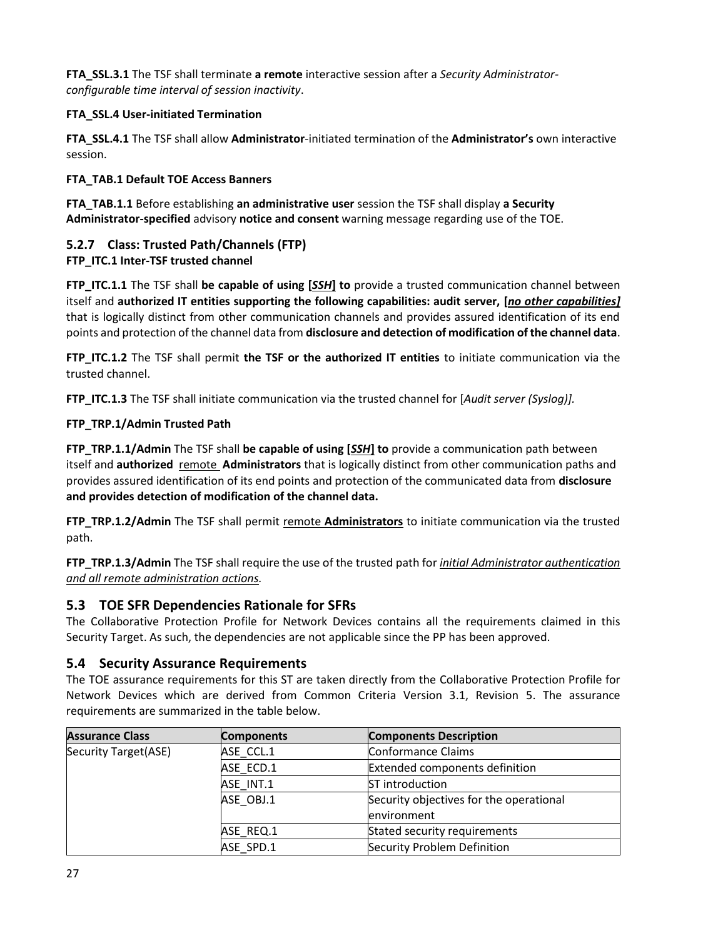**FTA\_SSL.3.1** The TSF shall terminate **a remote** interactive session after a *Security Administratorconfigurable time interval of session inactivity*.

#### **FTA\_SSL.4 User-initiated Termination**

**FTA\_SSL.4.1** The TSF shall allow **Administrator**-initiated termination of the **Administrator's** own interactive session.

## **FTA\_TAB.1 Default TOE Access Banners**

**FTA\_TAB.1.1** Before establishing **an administrative user** session the TSF shall display **a Security Administrator-specified** advisory **notice and consent** warning message regarding use of the TOE.

# <span id="page-26-0"></span>**5.2.7 Class: Trusted Path/Channels (FTP)**

# **FTP\_ITC.1 Inter-TSF trusted channel**

**FTP\_ITC.1.1** The TSF shall **be capable of using [***SSH***] to** provide a trusted communication channel between itself and **authorized IT entities supporting the following capabilities: audit server, [***no other capabilities]* that is logically distinct from other communication channels and provides assured identification of its end points and protection of the channel data from **disclosure and detection of modification of the channel data**.

**FTP\_ITC.1.2** The TSF shall permit **the TSF or the authorized IT entities** to initiate communication via the trusted channel.

**FTP\_ITC.1.3** The TSF shall initiate communication via the trusted channel for [*Audit server (Syslog)].*

# **FTP\_TRP.1/Admin Trusted Path**

**FTP\_TRP.1.1/Admin** The TSF shall **be capable of using [***SSH***] to** provide a communication path between itself and **authorized** remote **Administrators** that is logically distinct from other communication paths and provides assured identification of its end points and protection of the communicated data from **disclosure and provides detection of modification of the channel data.**

**FTP\_TRP.1.2/Admin** The TSF shall permit remote **Administrators** to initiate communication via the trusted path.

**FTP\_TRP.1.3/Admin** The TSF shall require the use of the trusted path for *initial Administrator authentication and all remote administration actions.*

# <span id="page-26-1"></span>**5.3 TOE SFR Dependencies Rationale for SFRs**

The Collaborative Protection Profile for Network Devices contains all the requirements claimed in this Security Target. As such, the dependencies are not applicable since the PP has been approved.

# <span id="page-26-2"></span>**5.4 Security Assurance Requirements**

The TOE assurance requirements for this ST are taken directly from the Collaborative Protection Profile for Network Devices which are derived from Common Criteria Version 3.1, Revision 5. The assurance requirements are summarized in the table below.

| <b>Assurance Class</b> | <b>Components</b> | <b>Components Description</b>           |
|------------------------|-------------------|-----------------------------------------|
| Security Target(ASE)   | ASE_CCL.1         | Conformance Claims                      |
|                        | ASE_ECD.1         | Extended components definition          |
|                        | ASE INT.1         | ST introduction                         |
|                        | ASE OBJ.1         | Security objectives for the operational |
|                        |                   | environment                             |
|                        | ASE_REQ.1         | Stated security requirements            |
|                        | ASE SPD.1         | Security Problem Definition             |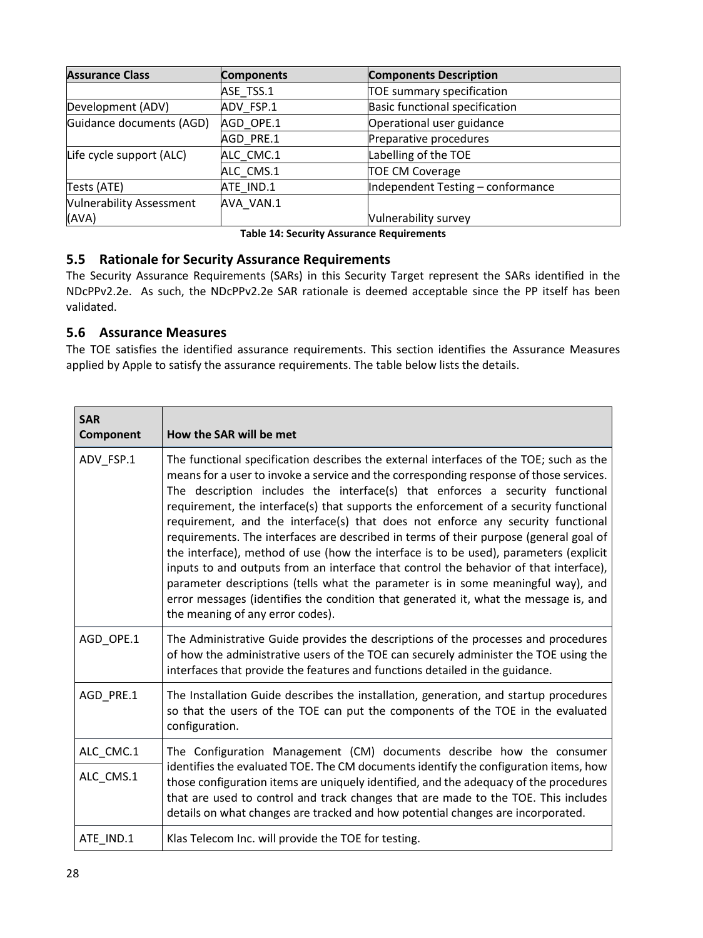| <b>Assurance Class</b>          | <b>Components</b> | <b>Components Description</b>     |
|---------------------------------|-------------------|-----------------------------------|
|                                 | ASE TSS.1         | TOE summary specification         |
| Development (ADV)               | ADV FSP.1         | Basic functional specification    |
| Guidance documents (AGD)        | AGD OPE.1         | Operational user guidance         |
|                                 | AGD PRE.1         | Preparative procedures            |
| Life cycle support (ALC)        | ALC CMC.1         | Labelling of the TOE              |
|                                 | ALC CMS.1         | <b>TOE CM Coverage</b>            |
| Tests (ATE)                     | ATE IND.1         | Independent Testing - conformance |
| <b>Vulnerability Assessment</b> | AVA VAN.1         |                                   |
| (AVA)                           |                   | Vulnerability survey              |

**Table 14: Security Assurance Requirements**

#### <span id="page-27-0"></span>**5.5 Rationale for Security Assurance Requirements**

The Security Assurance Requirements (SARs) in this Security Target represent the SARs identified in the NDcPPv2.2e. As such, the NDcPPv2.2e SAR rationale is deemed acceptable since the PP itself has been validated.

## <span id="page-27-1"></span>**5.6 Assurance Measures**

The TOE satisfies the identified assurance requirements. This section identifies the Assurance Measures applied by Apple to satisfy the assurance requirements. The table below lists the details.

| <b>SAR</b><br>Component | How the SAR will be met                                                                                                                                                                                                                                                                                                                                                                                                                                                                                                                                                                                                                                                                                                                                                                                                                                                                                                                 |  |
|-------------------------|-----------------------------------------------------------------------------------------------------------------------------------------------------------------------------------------------------------------------------------------------------------------------------------------------------------------------------------------------------------------------------------------------------------------------------------------------------------------------------------------------------------------------------------------------------------------------------------------------------------------------------------------------------------------------------------------------------------------------------------------------------------------------------------------------------------------------------------------------------------------------------------------------------------------------------------------|--|
| ADV FSP.1               | The functional specification describes the external interfaces of the TOE; such as the<br>means for a user to invoke a service and the corresponding response of those services.<br>The description includes the interface(s) that enforces a security functional<br>requirement, the interface(s) that supports the enforcement of a security functional<br>requirement, and the interface(s) that does not enforce any security functional<br>requirements. The interfaces are described in terms of their purpose (general goal of<br>the interface), method of use (how the interface is to be used), parameters (explicit<br>inputs to and outputs from an interface that control the behavior of that interface),<br>parameter descriptions (tells what the parameter is in some meaningful way), and<br>error messages (identifies the condition that generated it, what the message is, and<br>the meaning of any error codes). |  |
| AGD OPE.1               | The Administrative Guide provides the descriptions of the processes and procedures<br>of how the administrative users of the TOE can securely administer the TOE using the<br>interfaces that provide the features and functions detailed in the guidance.                                                                                                                                                                                                                                                                                                                                                                                                                                                                                                                                                                                                                                                                              |  |
| AGD PRE.1               | The Installation Guide describes the installation, generation, and startup procedures<br>so that the users of the TOE can put the components of the TOE in the evaluated<br>configuration.                                                                                                                                                                                                                                                                                                                                                                                                                                                                                                                                                                                                                                                                                                                                              |  |
| ALC CMC.1               | The Configuration Management (CM) documents describe how the consumer                                                                                                                                                                                                                                                                                                                                                                                                                                                                                                                                                                                                                                                                                                                                                                                                                                                                   |  |
| ALC_CMS.1               | identifies the evaluated TOE. The CM documents identify the configuration items, how<br>those configuration items are uniquely identified, and the adequacy of the procedures<br>that are used to control and track changes that are made to the TOE. This includes<br>details on what changes are tracked and how potential changes are incorporated.                                                                                                                                                                                                                                                                                                                                                                                                                                                                                                                                                                                  |  |
| ATE_IND.1               | Klas Telecom Inc. will provide the TOE for testing.                                                                                                                                                                                                                                                                                                                                                                                                                                                                                                                                                                                                                                                                                                                                                                                                                                                                                     |  |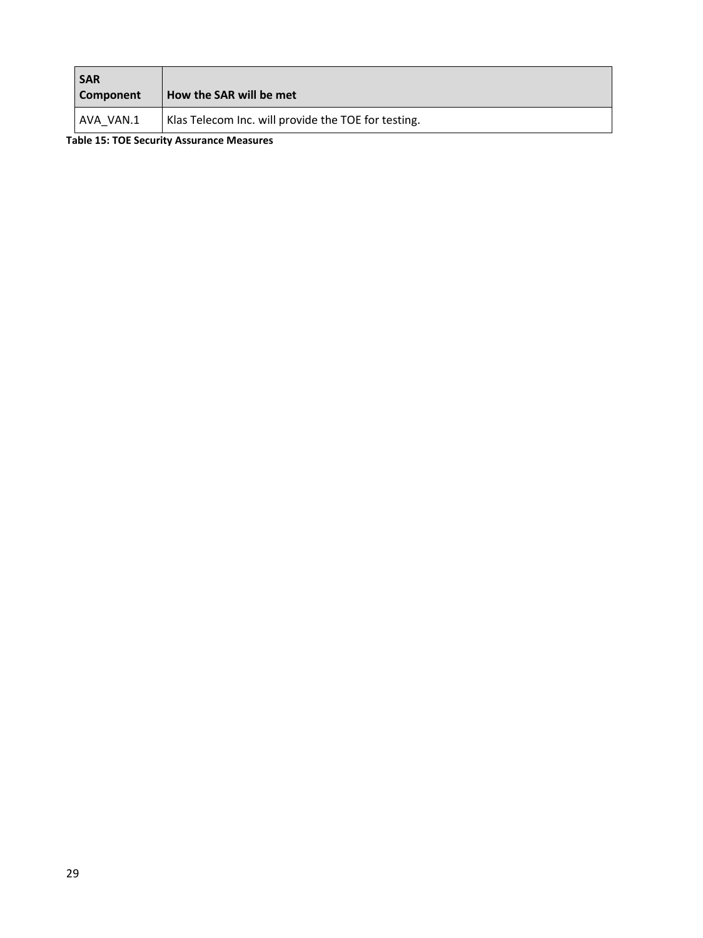| <b>SAR</b><br><b>Component</b> | How the SAR will be met                             |
|--------------------------------|-----------------------------------------------------|
| AVA VAN.1                      | Klas Telecom Inc. will provide the TOE for testing. |

**Table 15: TOE Security Assurance Measures**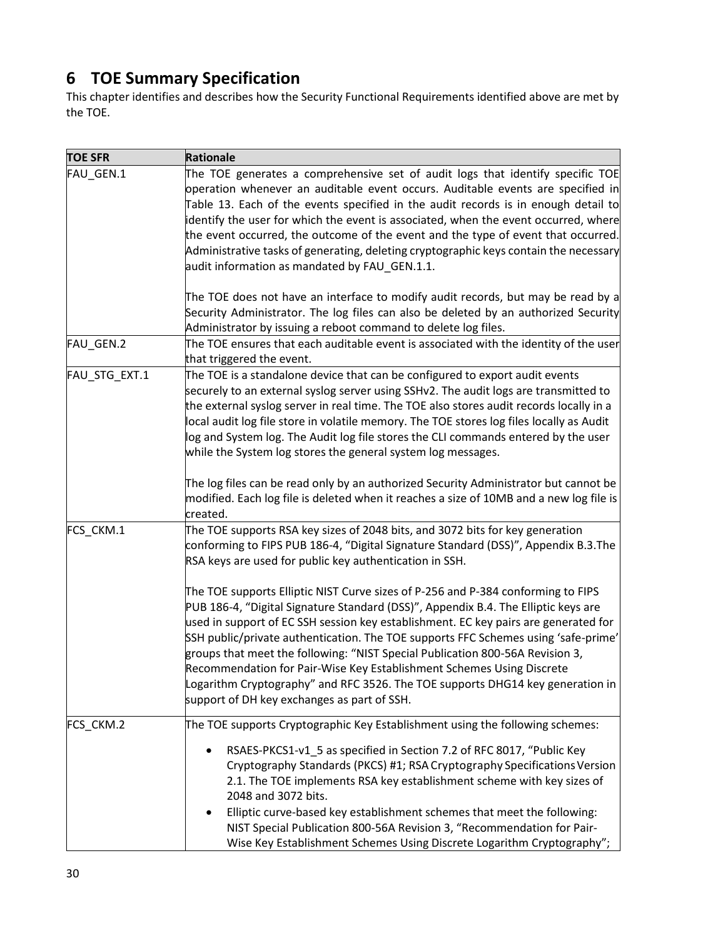# <span id="page-29-0"></span>**6 TOE Summary Specification**

This chapter identifies and describes how the Security Functional Requirements identified above are met by the TOE.

| <b>TOE SFR</b> | Rationale                                                                                                                                                                                                                                                                                                                                                                                                                                                                                                                                                                                                                                      |
|----------------|------------------------------------------------------------------------------------------------------------------------------------------------------------------------------------------------------------------------------------------------------------------------------------------------------------------------------------------------------------------------------------------------------------------------------------------------------------------------------------------------------------------------------------------------------------------------------------------------------------------------------------------------|
| FAU_GEN.1      | The TOE generates a comprehensive set of audit logs that identify specific TOE<br>operation whenever an auditable event occurs. Auditable events are specified in<br>Table 13. Each of the events specified in the audit records is in enough detail to<br>identify the user for which the event is associated, when the event occurred, where<br>the event occurred, the outcome of the event and the type of event that occurred.<br>Administrative tasks of generating, deleting cryptographic keys contain the necessary<br>audit information as mandated by FAU_GEN.1.1.                                                                  |
|                | The TOE does not have an interface to modify audit records, but may be read by a<br>Security Administrator. The log files can also be deleted by an authorized Security<br>Administrator by issuing a reboot command to delete log files.                                                                                                                                                                                                                                                                                                                                                                                                      |
| FAU_GEN.2      | The TOE ensures that each auditable event is associated with the identity of the user<br>that triggered the event.                                                                                                                                                                                                                                                                                                                                                                                                                                                                                                                             |
| FAU_STG_EXT.1  | The TOE is a standalone device that can be configured to export audit events<br>securely to an external syslog server using SSHv2. The audit logs are transmitted to<br>the external syslog server in real time. The TOE also stores audit records locally in a<br>local audit log file store in volatile memory. The TOE stores log files locally as Audit<br>log and System log. The Audit log file stores the CLI commands entered by the user<br>while the System log stores the general system log messages.                                                                                                                              |
|                | The log files can be read only by an authorized Security Administrator but cannot be<br>modified. Each log file is deleted when it reaches a size of 10MB and a new log file is<br>created.                                                                                                                                                                                                                                                                                                                                                                                                                                                    |
| FCS_CKM.1      | The TOE supports RSA key sizes of 2048 bits, and 3072 bits for key generation<br>conforming to FIPS PUB 186-4, "Digital Signature Standard (DSS)", Appendix B.3.The<br>RSA keys are used for public key authentication in SSH.                                                                                                                                                                                                                                                                                                                                                                                                                 |
|                | The TOE supports Elliptic NIST Curve sizes of P-256 and P-384 conforming to FIPS<br>PUB 186-4, "Digital Signature Standard (DSS)", Appendix B.4. The Elliptic keys are<br>used in support of EC SSH session key establishment. EC key pairs are generated for<br>SSH public/private authentication. The TOE supports FFC Schemes using 'safe-prime'<br>groups that meet the following: "NIST Special Publication 800-56A Revision 3,<br>Recommendation for Pair-Wise Key Establishment Schemes Using Discrete<br>Logarithm Cryptography" and RFC 3526. The TOE supports DHG14 key generation in<br>support of DH key exchanges as part of SSH. |
| FCS_CKM.2      | The TOE supports Cryptographic Key Establishment using the following schemes:<br>RSAES-PKCS1-v1_5 as specified in Section 7.2 of RFC 8017, "Public Key<br>$\bullet$<br>Cryptography Standards (PKCS) #1; RSA Cryptography Specifications Version<br>2.1. The TOE implements RSA key establishment scheme with key sizes of<br>2048 and 3072 bits.<br>Elliptic curve-based key establishment schemes that meet the following:<br>٠<br>NIST Special Publication 800-56A Revision 3, "Recommendation for Pair-<br>Wise Key Establishment Schemes Using Discrete Logarithm Cryptography";                                                          |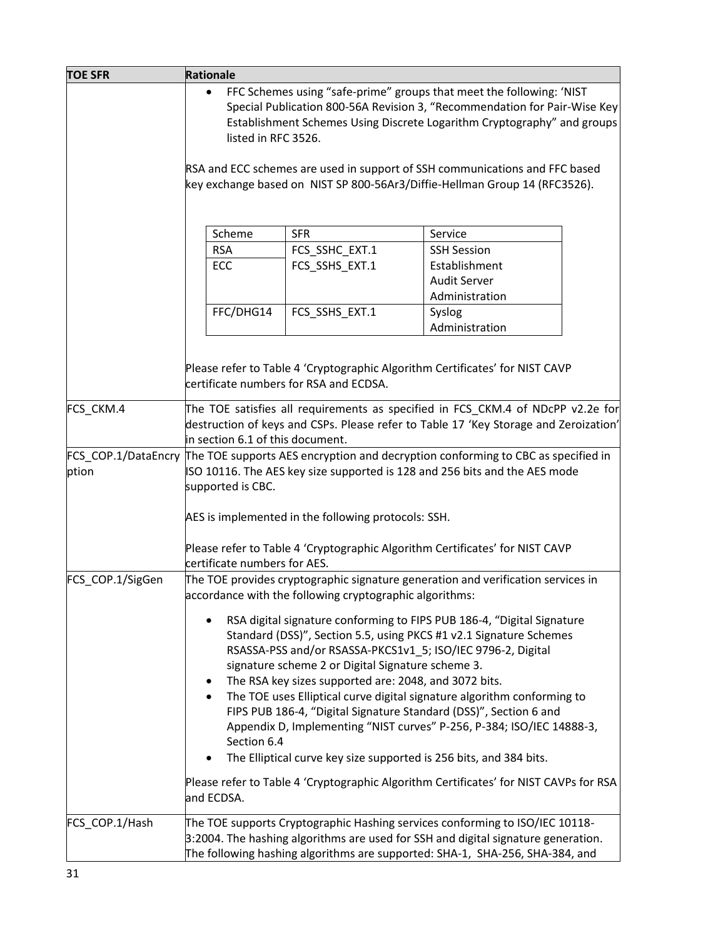| <b>TOE SFR</b>   | Rationale                                                                                                                                                                                                   |                                                                                                                                                           |                                                                                                                                                                                                                                                   |  |
|------------------|-------------------------------------------------------------------------------------------------------------------------------------------------------------------------------------------------------------|-----------------------------------------------------------------------------------------------------------------------------------------------------------|---------------------------------------------------------------------------------------------------------------------------------------------------------------------------------------------------------------------------------------------------|--|
|                  |                                                                                                                                                                                                             | listed in RFC 3526.                                                                                                                                       | FFC Schemes using "safe-prime" groups that meet the following: 'NIST<br>Special Publication 800-56A Revision 3, "Recommendation for Pair-Wise Key<br>Establishment Schemes Using Discrete Logarithm Cryptography" and groups                      |  |
|                  |                                                                                                                                                                                                             | RSA and ECC schemes are used in support of SSH communications and FFC based<br>key exchange based on NIST SP 800-56Ar3/Diffie-Hellman Group 14 (RFC3526). |                                                                                                                                                                                                                                                   |  |
|                  | Scheme                                                                                                                                                                                                      | <b>SFR</b>                                                                                                                                                | Service                                                                                                                                                                                                                                           |  |
|                  | <b>RSA</b>                                                                                                                                                                                                  | FCS_SSHC_EXT.1                                                                                                                                            | <b>SSH Session</b>                                                                                                                                                                                                                                |  |
|                  | ECC                                                                                                                                                                                                         | FCS_SSHS_EXT.1                                                                                                                                            | Establishment<br><b>Audit Server</b><br>Administration                                                                                                                                                                                            |  |
|                  | FFC/DHG14                                                                                                                                                                                                   | FCS_SSHS_EXT.1                                                                                                                                            | Syslog<br>Administration                                                                                                                                                                                                                          |  |
|                  |                                                                                                                                                                                                             | certificate numbers for RSA and ECDSA.                                                                                                                    | Please refer to Table 4 'Cryptographic Algorithm Certificates' for NIST CAVP                                                                                                                                                                      |  |
| FCS_CKM.4        | The TOE satisfies all requirements as specified in FCS_CKM.4 of NDcPP v2.2e for<br>destruction of keys and CSPs. Please refer to Table 17 'Key Storage and Zeroization'<br>in section 6.1 of this document. |                                                                                                                                                           |                                                                                                                                                                                                                                                   |  |
|                  |                                                                                                                                                                                                             |                                                                                                                                                           | FCS_COP.1/DataEncry The TOE supports AES encryption and decryption conforming to CBC as specified in                                                                                                                                              |  |
| ption            | supported is CBC.                                                                                                                                                                                           |                                                                                                                                                           | ISO 10116. The AES key size supported is 128 and 256 bits and the AES mode                                                                                                                                                                        |  |
|                  |                                                                                                                                                                                                             | AES is implemented in the following protocols: SSH.                                                                                                       |                                                                                                                                                                                                                                                   |  |
|                  | certificate numbers for AES.                                                                                                                                                                                |                                                                                                                                                           | Please refer to Table 4 'Cryptographic Algorithm Certificates' for NIST CAVP                                                                                                                                                                      |  |
| FCS_COP.1/SigGen |                                                                                                                                                                                                             | accordance with the following cryptographic algorithms:                                                                                                   | The TOE provides cryptographic signature generation and verification services in                                                                                                                                                                  |  |
|                  |                                                                                                                                                                                                             | signature scheme 2 or Digital Signature scheme 3.<br>The RSA key sizes supported are: 2048, and 3072 bits.                                                | RSA digital signature conforming to FIPS PUB 186-4, "Digital Signature<br>Standard (DSS)", Section 5.5, using PKCS #1 v2.1 Signature Schemes<br>RSASSA-PSS and/or RSASSA-PKCS1v1_5; ISO/IEC 9796-2, Digital                                       |  |
|                  | Section 6.4                                                                                                                                                                                                 |                                                                                                                                                           | The TOE uses Elliptical curve digital signature algorithm conforming to<br>FIPS PUB 186-4, "Digital Signature Standard (DSS)", Section 6 and<br>Appendix D, Implementing "NIST curves" P-256, P-384; ISO/IEC 14888-3,                             |  |
|                  |                                                                                                                                                                                                             |                                                                                                                                                           | The Elliptical curve key size supported is 256 bits, and 384 bits.                                                                                                                                                                                |  |
|                  | and ECDSA.                                                                                                                                                                                                  |                                                                                                                                                           | Please refer to Table 4 'Cryptographic Algorithm Certificates' for NIST CAVPs for RSA                                                                                                                                                             |  |
| FCS_COP.1/Hash   |                                                                                                                                                                                                             |                                                                                                                                                           | The TOE supports Cryptographic Hashing services conforming to ISO/IEC 10118-<br>3:2004. The hashing algorithms are used for SSH and digital signature generation.<br>The following hashing algorithms are supported: SHA-1, SHA-256, SHA-384, and |  |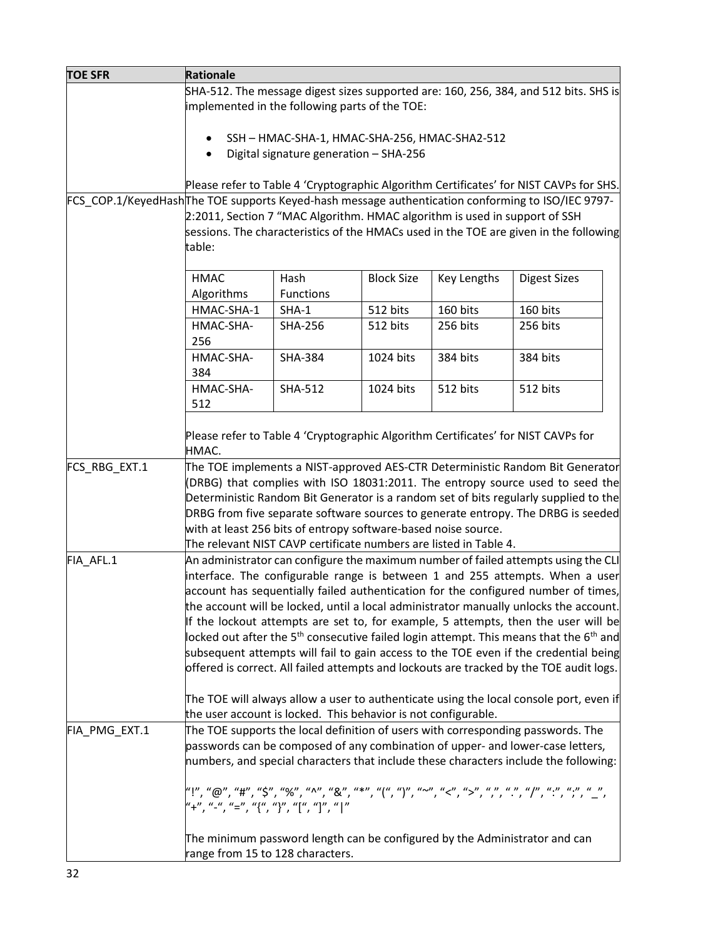| <b>TOE SFR</b>                                                                                     | Rationale                                                                                                                           |                                               |                   |             |                                                                                                                                                                        |
|----------------------------------------------------------------------------------------------------|-------------------------------------------------------------------------------------------------------------------------------------|-----------------------------------------------|-------------------|-------------|------------------------------------------------------------------------------------------------------------------------------------------------------------------------|
|                                                                                                    |                                                                                                                                     |                                               |                   |             | SHA-512. The message digest sizes supported are: 160, 256, 384, and 512 bits. SHS is                                                                                   |
|                                                                                                    | implemented in the following parts of the TOE:                                                                                      |                                               |                   |             |                                                                                                                                                                        |
|                                                                                                    |                                                                                                                                     |                                               |                   |             |                                                                                                                                                                        |
|                                                                                                    |                                                                                                                                     | SSH - HMAC-SHA-1, HMAC-SHA-256, HMAC-SHA2-512 |                   |             |                                                                                                                                                                        |
|                                                                                                    | $\bullet$                                                                                                                           | Digital signature generation - SHA-256        |                   |             |                                                                                                                                                                        |
|                                                                                                    |                                                                                                                                     |                                               |                   |             |                                                                                                                                                                        |
|                                                                                                    |                                                                                                                                     |                                               |                   |             | Please refer to Table 4 'Cryptographic Algorithm Certificates' for NIST CAVPs for SHS.                                                                                 |
| FCS_COP.1/KeyedHash The TOE supports Keyed-hash message authentication conforming to ISO/IEC 9797- |                                                                                                                                     |                                               |                   |             |                                                                                                                                                                        |
|                                                                                                    | 2:2011, Section 7 "MAC Algorithm. HMAC algorithm is used in support of SSH                                                          |                                               |                   |             |                                                                                                                                                                        |
|                                                                                                    |                                                                                                                                     |                                               |                   |             | sessions. The characteristics of the HMACs used in the TOE are given in the following                                                                                  |
|                                                                                                    | table:                                                                                                                              |                                               |                   |             |                                                                                                                                                                        |
|                                                                                                    | <b>HMAC</b>                                                                                                                         | Hash                                          | <b>Block Size</b> | Key Lengths | <b>Digest Sizes</b>                                                                                                                                                    |
|                                                                                                    | Algorithms                                                                                                                          | <b>Functions</b>                              |                   |             |                                                                                                                                                                        |
|                                                                                                    | HMAC-SHA-1                                                                                                                          | $SHA-1$                                       | 512 bits          | 160 bits    | 160 bits                                                                                                                                                               |
|                                                                                                    | HMAC-SHA-                                                                                                                           | <b>SHA-256</b>                                | 512 bits          | 256 bits    | 256 bits                                                                                                                                                               |
|                                                                                                    | 256                                                                                                                                 |                                               |                   |             |                                                                                                                                                                        |
|                                                                                                    | HMAC-SHA-                                                                                                                           | <b>SHA-384</b>                                | 1024 bits         | 384 bits    | 384 bits                                                                                                                                                               |
|                                                                                                    | 384                                                                                                                                 |                                               |                   |             |                                                                                                                                                                        |
|                                                                                                    | HMAC-SHA-                                                                                                                           | <b>SHA-512</b>                                | 1024 bits         | 512 bits    | 512 bits                                                                                                                                                               |
|                                                                                                    | 512                                                                                                                                 |                                               |                   |             |                                                                                                                                                                        |
|                                                                                                    |                                                                                                                                     |                                               |                   |             |                                                                                                                                                                        |
|                                                                                                    |                                                                                                                                     |                                               |                   |             | Please refer to Table 4 'Cryptographic Algorithm Certificates' for NIST CAVPs for                                                                                      |
|                                                                                                    | HMAC.                                                                                                                               |                                               |                   |             |                                                                                                                                                                        |
| FCS_RBG_EXT.1                                                                                      |                                                                                                                                     |                                               |                   |             | The TOE implements a NIST-approved AES-CTR Deterministic Random Bit Generator                                                                                          |
|                                                                                                    |                                                                                                                                     |                                               |                   |             | (DRBG) that complies with ISO 18031:2011. The entropy source used to seed the                                                                                          |
|                                                                                                    |                                                                                                                                     |                                               |                   |             | Deterministic Random Bit Generator is a random set of bits regularly supplied to the                                                                                   |
|                                                                                                    |                                                                                                                                     |                                               |                   |             | DRBG from five separate software sources to generate entropy. The DRBG is seeded                                                                                       |
|                                                                                                    | with at least 256 bits of entropy software-based noise source.<br>The relevant NIST CAVP certificate numbers are listed in Table 4. |                                               |                   |             |                                                                                                                                                                        |
| FIA AFL.1                                                                                          |                                                                                                                                     |                                               |                   |             | An administrator can configure the maximum number of failed attempts using the CLI                                                                                     |
|                                                                                                    |                                                                                                                                     |                                               |                   |             | interface. The configurable range is between 1 and 255 attempts. When a user                                                                                           |
|                                                                                                    |                                                                                                                                     |                                               |                   |             | account has sequentially failed authentication for the configured number of times,                                                                                     |
|                                                                                                    |                                                                                                                                     |                                               |                   |             | the account will be locked, until a local administrator manually unlocks the account.                                                                                  |
|                                                                                                    |                                                                                                                                     |                                               |                   |             | If the lockout attempts are set to, for example, 5 attempts, then the user will be                                                                                     |
|                                                                                                    |                                                                                                                                     |                                               |                   |             | locked out after the 5 <sup>th</sup> consecutive failed login attempt. This means that the 6 <sup>th</sup> and                                                         |
|                                                                                                    |                                                                                                                                     |                                               |                   |             | subsequent attempts will fail to gain access to the TOE even if the credential being                                                                                   |
|                                                                                                    |                                                                                                                                     |                                               |                   |             | offered is correct. All failed attempts and lockouts are tracked by the TOE audit logs.                                                                                |
|                                                                                                    |                                                                                                                                     |                                               |                   |             |                                                                                                                                                                        |
|                                                                                                    |                                                                                                                                     |                                               |                   |             | The TOE will always allow a user to authenticate using the local console port, even if                                                                                 |
|                                                                                                    | the user account is locked. This behavior is not configurable.                                                                      |                                               |                   |             |                                                                                                                                                                        |
| FIA_PMG_EXT.1                                                                                      |                                                                                                                                     |                                               |                   |             | The TOE supports the local definition of users with corresponding passwords. The                                                                                       |
|                                                                                                    |                                                                                                                                     |                                               |                   |             | passwords can be composed of any combination of upper- and lower-case letters,<br>numbers, and special characters that include these characters include the following: |
|                                                                                                    |                                                                                                                                     |                                               |                   |             |                                                                                                                                                                        |
|                                                                                                    |                                                                                                                                     |                                               |                   |             |                                                                                                                                                                        |
|                                                                                                    | "+", "-", "=", "{", "}", "[", "]", " "                                                                                              |                                               |                   |             |                                                                                                                                                                        |
|                                                                                                    |                                                                                                                                     |                                               |                   |             |                                                                                                                                                                        |
|                                                                                                    | The minimum password length can be configured by the Administrator and can                                                          |                                               |                   |             |                                                                                                                                                                        |
|                                                                                                    | range from 15 to 128 characters.                                                                                                    |                                               |                   |             |                                                                                                                                                                        |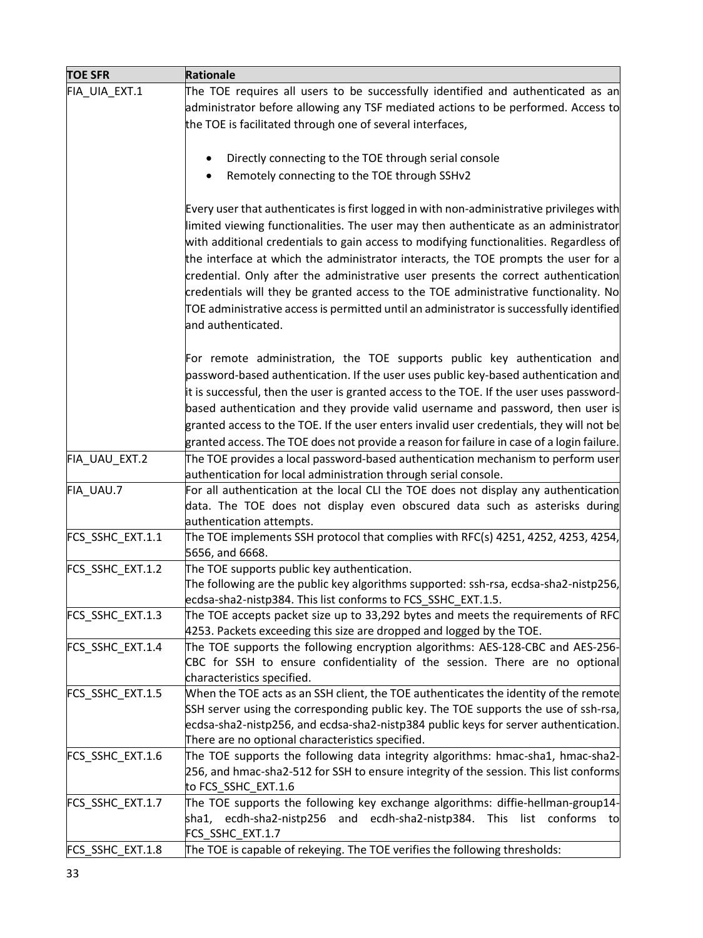| <b>TOE SFR</b>   | Rationale                                                                                                                                                                       |
|------------------|---------------------------------------------------------------------------------------------------------------------------------------------------------------------------------|
| FIA_UIA_EXT.1    | The TOE requires all users to be successfully identified and authenticated as an                                                                                                |
|                  | administrator before allowing any TSF mediated actions to be performed. Access to                                                                                               |
|                  | the TOE is facilitated through one of several interfaces,                                                                                                                       |
|                  |                                                                                                                                                                                 |
|                  | Directly connecting to the TOE through serial console                                                                                                                           |
|                  | Remotely connecting to the TOE through SSHv2                                                                                                                                    |
|                  |                                                                                                                                                                                 |
|                  | Every user that authenticates is first logged in with non-administrative privileges with<br>limited viewing functionalities. The user may then authenticate as an administrator |
|                  | with additional credentials to gain access to modifying functionalities. Regardless of<br>the interface at which the administrator interacts, the TOE prompts the user for a    |
|                  | credential. Only after the administrative user presents the correct authentication                                                                                              |
|                  | credentials will they be granted access to the TOE administrative functionality. No                                                                                             |
|                  | TOE administrative access is permitted until an administrator is successfully identified                                                                                        |
|                  | and authenticated.                                                                                                                                                              |
|                  |                                                                                                                                                                                 |
|                  | For remote administration, the TOE supports public key authentication and                                                                                                       |
|                  | password-based authentication. If the user uses public key-based authentication and                                                                                             |
|                  | it is successful, then the user is granted access to the TOE. If the user uses password-                                                                                        |
|                  | based authentication and they provide valid username and password, then user is                                                                                                 |
|                  | granted access to the TOE. If the user enters invalid user credentials, they will not be                                                                                        |
|                  | granted access. The TOE does not provide a reason for failure in case of a login failure.                                                                                       |
| FIA_UAU_EXT.2    | The TOE provides a local password-based authentication mechanism to perform user                                                                                                |
|                  | authentication for local administration through serial console.                                                                                                                 |
| FIA_UAU.7        | For all authentication at the local CLI the TOE does not display any authentication                                                                                             |
|                  | data. The TOE does not display even obscured data such as asterisks during                                                                                                      |
|                  | authentication attempts.                                                                                                                                                        |
| FCS_SSHC_EXT.1.1 | The TOE implements SSH protocol that complies with RFC(s) 4251, 4252, 4253, 4254,<br>5656, and 6668.                                                                            |
| FCS_SSHC_EXT.1.2 | The TOE supports public key authentication.                                                                                                                                     |
|                  | The following are the public key algorithms supported: ssh-rsa, ecdsa-sha2-nistp256,                                                                                            |
|                  | ecdsa-sha2-nistp384. This list conforms to FCS_SSHC_EXT.1.5.                                                                                                                    |
| FCS_SSHC_EXT.1.3 | The TOE accepts packet size up to 33,292 bytes and meets the requirements of RFC<br>4253. Packets exceeding this size are dropped and logged by the TOE.                        |
| FCS_SSHC_EXT.1.4 | The TOE supports the following encryption algorithms: AES-128-CBC and AES-256-                                                                                                  |
|                  | CBC for SSH to ensure confidentiality of the session. There are no optional                                                                                                     |
|                  | characteristics specified.                                                                                                                                                      |
| FCS_SSHC_EXT.1.5 | When the TOE acts as an SSH client, the TOE authenticates the identity of the remote                                                                                            |
|                  | SSH server using the corresponding public key. The TOE supports the use of ssh-rsa,                                                                                             |
|                  | ecdsa-sha2-nistp256, and ecdsa-sha2-nistp384 public keys for server authentication.                                                                                             |
|                  | There are no optional characteristics specified.                                                                                                                                |
| FCS_SSHC_EXT.1.6 | The TOE supports the following data integrity algorithms: hmac-sha1, hmac-sha2-                                                                                                 |
|                  | 256, and hmac-sha2-512 for SSH to ensure integrity of the session. This list conforms<br>to FCS_SSHC_EXT.1.6                                                                    |
| FCS_SSHC_EXT.1.7 | The TOE supports the following key exchange algorithms: diffie-hellman-group14-                                                                                                 |
|                  | sha1, ecdh-sha2-nistp256 and ecdh-sha2-nistp384.<br><b>This</b><br>list conforms<br>to:                                                                                         |
|                  | FCS_SSHC_EXT.1.7                                                                                                                                                                |
| FCS_SSHC_EXT.1.8 | The TOE is capable of rekeying. The TOE verifies the following thresholds:                                                                                                      |
|                  |                                                                                                                                                                                 |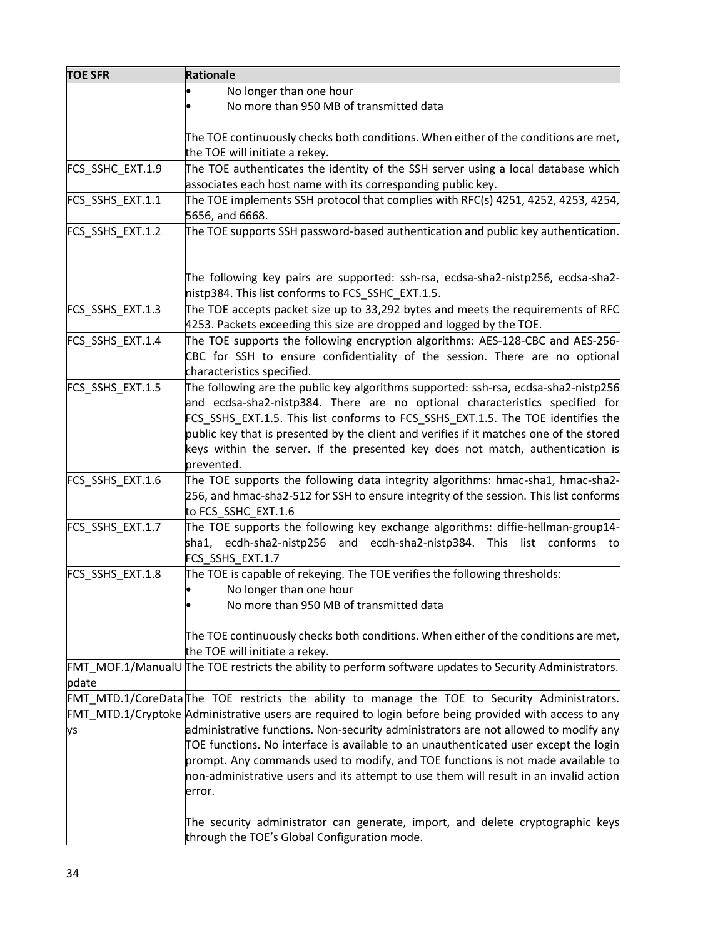| <b>TOE SFR</b>   | Rationale                                                                                                                                                                                                                                                                                                                                                                                                                                          |  |  |  |
|------------------|----------------------------------------------------------------------------------------------------------------------------------------------------------------------------------------------------------------------------------------------------------------------------------------------------------------------------------------------------------------------------------------------------------------------------------------------------|--|--|--|
|                  | No longer than one hour                                                                                                                                                                                                                                                                                                                                                                                                                            |  |  |  |
|                  | No more than 950 MB of transmitted data                                                                                                                                                                                                                                                                                                                                                                                                            |  |  |  |
|                  |                                                                                                                                                                                                                                                                                                                                                                                                                                                    |  |  |  |
|                  | The TOE continuously checks both conditions. When either of the conditions are met,                                                                                                                                                                                                                                                                                                                                                                |  |  |  |
|                  | the TOE will initiate a rekey.                                                                                                                                                                                                                                                                                                                                                                                                                     |  |  |  |
| FCS_SSHC_EXT.1.9 | The TOE authenticates the identity of the SSH server using a local database which<br>associates each host name with its corresponding public key.                                                                                                                                                                                                                                                                                                  |  |  |  |
| FCS_SSHS_EXT.1.1 | The TOE implements SSH protocol that complies with RFC(s) 4251, 4252, 4253, 4254,<br>5656, and 6668.                                                                                                                                                                                                                                                                                                                                               |  |  |  |
| FCS_SSHS_EXT.1.2 | The TOE supports SSH password-based authentication and public key authentication.                                                                                                                                                                                                                                                                                                                                                                  |  |  |  |
|                  | The following key pairs are supported: ssh-rsa, ecdsa-sha2-nistp256, ecdsa-sha2-<br>nistp384. This list conforms to FCS_SSHC_EXT.1.5.                                                                                                                                                                                                                                                                                                              |  |  |  |
| FCS_SSHS_EXT.1.3 | The TOE accepts packet size up to 33,292 bytes and meets the requirements of RFC<br>4253. Packets exceeding this size are dropped and logged by the TOE.                                                                                                                                                                                                                                                                                           |  |  |  |
| FCS_SSHS_EXT.1.4 | The TOE supports the following encryption algorithms: AES-128-CBC and AES-256-<br>CBC for SSH to ensure confidentiality of the session. There are no optional<br>characteristics specified.                                                                                                                                                                                                                                                        |  |  |  |
| FCS SSHS EXT.1.5 | The following are the public key algorithms supported: ssh-rsa, ecdsa-sha2-nistp256<br>and ecdsa-sha2-nistp384. There are no optional characteristics specified for<br>FCS_SSHS_EXT.1.5. This list conforms to FCS_SSHS_EXT.1.5. The TOE identifies the<br>public key that is presented by the client and verifies if it matches one of the stored<br>keys within the server. If the presented key does not match, authentication is<br>prevented. |  |  |  |
| FCS_SSHS_EXT.1.6 | The TOE supports the following data integrity algorithms: hmac-sha1, hmac-sha2-<br>256, and hmac-sha2-512 for SSH to ensure integrity of the session. This list conforms<br>to FCS_SSHC_EXT.1.6                                                                                                                                                                                                                                                    |  |  |  |
| FCS SSHS EXT.1.7 | The TOE supports the following key exchange algorithms: diffie-hellman-group14-<br>sha1, ecdh-sha2-nistp256 and ecdh-sha2-nistp384. This list conforms to<br>FCS_SSHS_EXT.1.7                                                                                                                                                                                                                                                                      |  |  |  |
| FCS SSHS EXT.1.8 | The TOE is capable of rekeying. The TOE verifies the following thresholds:                                                                                                                                                                                                                                                                                                                                                                         |  |  |  |
|                  | No longer than one hour                                                                                                                                                                                                                                                                                                                                                                                                                            |  |  |  |
|                  | No more than 950 MB of transmitted data                                                                                                                                                                                                                                                                                                                                                                                                            |  |  |  |
|                  | The TOE continuously checks both conditions. When either of the conditions are met,<br>the TOE will initiate a rekey.                                                                                                                                                                                                                                                                                                                              |  |  |  |
| pdate            | FMT_MOF.1/ManualU The TOE restricts the ability to perform software updates to Security Administrators.                                                                                                                                                                                                                                                                                                                                            |  |  |  |
|                  | FMT_MTD.1/CoreData The TOE restricts the ability to manage the TOE to Security Administrators.                                                                                                                                                                                                                                                                                                                                                     |  |  |  |
|                  | FMT_MTD.1/Cryptoke Administrative users are required to login before being provided with access to any                                                                                                                                                                                                                                                                                                                                             |  |  |  |
| ys               | administrative functions. Non-security administrators are not allowed to modify any                                                                                                                                                                                                                                                                                                                                                                |  |  |  |
|                  | TOE functions. No interface is available to an unauthenticated user except the login                                                                                                                                                                                                                                                                                                                                                               |  |  |  |
|                  | prompt. Any commands used to modify, and TOE functions is not made available to                                                                                                                                                                                                                                                                                                                                                                    |  |  |  |
|                  | non-administrative users and its attempt to use them will result in an invalid action                                                                                                                                                                                                                                                                                                                                                              |  |  |  |
|                  | error.                                                                                                                                                                                                                                                                                                                                                                                                                                             |  |  |  |
|                  | The security administrator can generate, import, and delete cryptographic keys<br>through the TOE's Global Configuration mode.                                                                                                                                                                                                                                                                                                                     |  |  |  |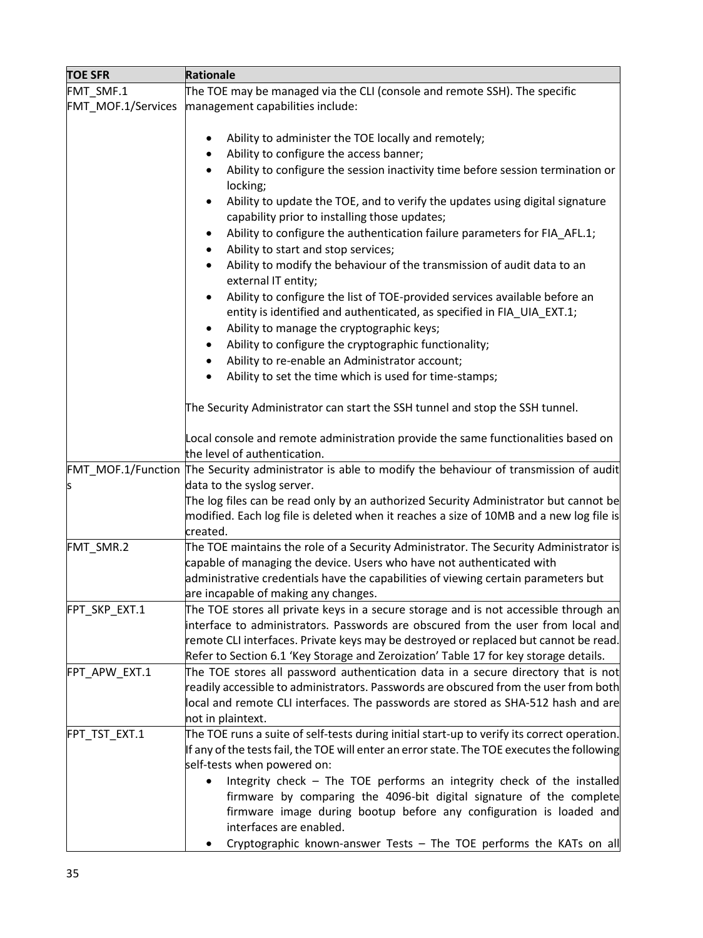| <b>TOE SFR</b>     | Rationale                                                                                                                                                                                   |  |  |  |
|--------------------|---------------------------------------------------------------------------------------------------------------------------------------------------------------------------------------------|--|--|--|
| FMT_SMF.1          | The TOE may be managed via the CLI (console and remote SSH). The specific                                                                                                                   |  |  |  |
| FMT_MOF.1/Services | management capabilities include:                                                                                                                                                            |  |  |  |
|                    |                                                                                                                                                                                             |  |  |  |
|                    | Ability to administer the TOE locally and remotely;                                                                                                                                         |  |  |  |
|                    | Ability to configure the access banner;                                                                                                                                                     |  |  |  |
|                    | Ability to configure the session inactivity time before session termination or<br>locking;                                                                                                  |  |  |  |
|                    | Ability to update the TOE, and to verify the updates using digital signature<br>capability prior to installing those updates;                                                               |  |  |  |
|                    | Ability to configure the authentication failure parameters for FIA_AFL.1;<br>٠<br>Ability to start and stop services;                                                                       |  |  |  |
|                    | Ability to modify the behaviour of the transmission of audit data to an<br>external IT entity;                                                                                              |  |  |  |
|                    | Ability to configure the list of TOE-provided services available before an<br>entity is identified and authenticated, as specified in FIA_UIA_EXT.1;                                        |  |  |  |
|                    | Ability to manage the cryptographic keys;<br>٠                                                                                                                                              |  |  |  |
|                    | Ability to configure the cryptographic functionality;                                                                                                                                       |  |  |  |
|                    | Ability to re-enable an Administrator account;                                                                                                                                              |  |  |  |
|                    | Ability to set the time which is used for time-stamps;                                                                                                                                      |  |  |  |
|                    | The Security Administrator can start the SSH tunnel and stop the SSH tunnel.                                                                                                                |  |  |  |
|                    | Local console and remote administration provide the same functionalities based on<br>the level of authentication.                                                                           |  |  |  |
| s                  | FMT_MOF.1/Function The Security administrator is able to modify the behaviour of transmission of audit<br>data to the syslog server.                                                        |  |  |  |
|                    | The log files can be read only by an authorized Security Administrator but cannot be<br>modified. Each log file is deleted when it reaches a size of 10MB and a new log file is<br>created. |  |  |  |
| FMT_SMR.2          | The TOE maintains the role of a Security Administrator. The Security Administrator is                                                                                                       |  |  |  |
|                    | capable of managing the device. Users who have not authenticated with                                                                                                                       |  |  |  |
|                    | administrative credentials have the capabilities of viewing certain parameters but                                                                                                          |  |  |  |
|                    | are incapable of making any changes.                                                                                                                                                        |  |  |  |
| FPT_SKP_EXT.1      | The TOE stores all private keys in a secure storage and is not accessible through an                                                                                                        |  |  |  |
|                    | interface to administrators. Passwords are obscured from the user from local and                                                                                                            |  |  |  |
|                    | remote CLI interfaces. Private keys may be destroyed or replaced but cannot be read.                                                                                                        |  |  |  |
|                    | Refer to Section 6.1 'Key Storage and Zeroization' Table 17 for key storage details.                                                                                                        |  |  |  |
| FPT_APW_EXT.1      | The TOE stores all password authentication data in a secure directory that is not                                                                                                           |  |  |  |
|                    | readily accessible to administrators. Passwords are obscured from the user from both                                                                                                        |  |  |  |
|                    | local and remote CLI interfaces. The passwords are stored as SHA-512 hash and are                                                                                                           |  |  |  |
|                    | not in plaintext.                                                                                                                                                                           |  |  |  |
| FPT_TST_EXT.1      | The TOE runs a suite of self-tests during initial start-up to verify its correct operation.                                                                                                 |  |  |  |
|                    | If any of the tests fail, the TOE will enter an error state. The TOE executes the following                                                                                                 |  |  |  |
|                    | self-tests when powered on:                                                                                                                                                                 |  |  |  |
|                    | Integrity check - The TOE performs an integrity check of the installed                                                                                                                      |  |  |  |
|                    | firmware by comparing the 4096-bit digital signature of the complete                                                                                                                        |  |  |  |
|                    | firmware image during bootup before any configuration is loaded and<br>interfaces are enabled.                                                                                              |  |  |  |
|                    |                                                                                                                                                                                             |  |  |  |
|                    | Cryptographic known-answer Tests - The TOE performs the KATs on all                                                                                                                         |  |  |  |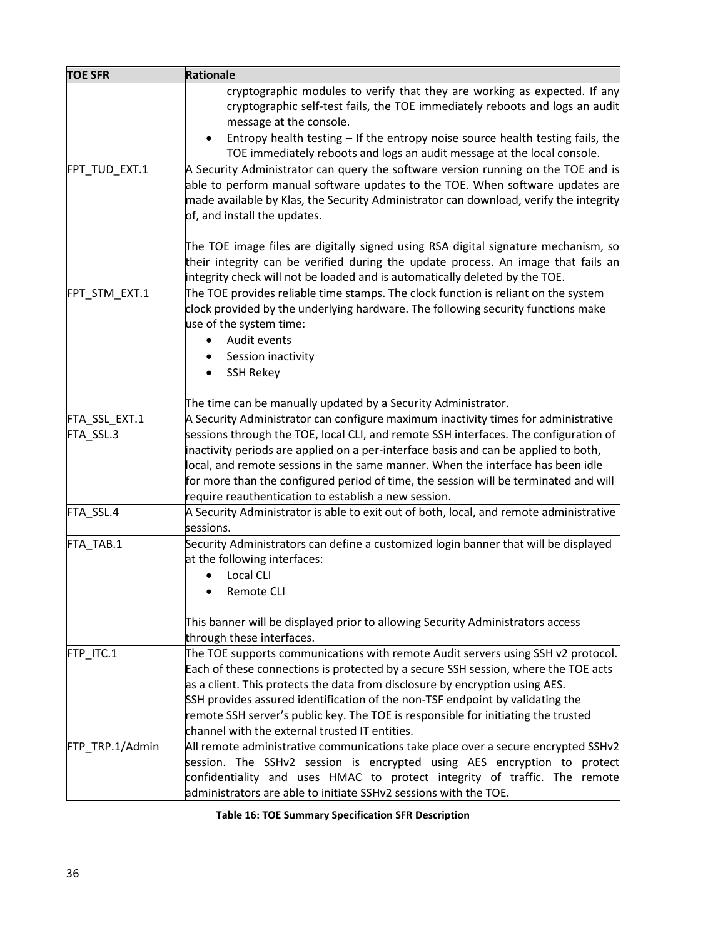| <b>TOE SFR</b>             | Rationale                                                                                                                                                                                                                                                                                                                                                                                                                                                                                            |
|----------------------------|------------------------------------------------------------------------------------------------------------------------------------------------------------------------------------------------------------------------------------------------------------------------------------------------------------------------------------------------------------------------------------------------------------------------------------------------------------------------------------------------------|
|                            | cryptographic modules to verify that they are working as expected. If any<br>cryptographic self-test fails, the TOE immediately reboots and logs an audit<br>message at the console.<br>Entropy health testing - If the entropy noise source health testing fails, the<br>$\bullet$<br>TOE immediately reboots and logs an audit message at the local console.                                                                                                                                       |
| FPT_TUD_EXT.1              | A Security Administrator can query the software version running on the TOE and is<br>able to perform manual software updates to the TOE. When software updates are<br>made available by Klas, the Security Administrator can download, verify the integrity<br>of, and install the updates.                                                                                                                                                                                                          |
|                            | The TOE image files are digitally signed using RSA digital signature mechanism, so<br>their integrity can be verified during the update process. An image that fails an<br>integrity check will not be loaded and is automatically deleted by the TOE.                                                                                                                                                                                                                                               |
| FPT STM EXT.1              | The TOE provides reliable time stamps. The clock function is reliant on the system<br>clock provided by the underlying hardware. The following security functions make<br>use of the system time:<br>Audit events<br>Session inactivity<br>٠<br><b>SSH Rekey</b><br>$\bullet$                                                                                                                                                                                                                        |
|                            | The time can be manually updated by a Security Administrator.                                                                                                                                                                                                                                                                                                                                                                                                                                        |
| FTA_SSL_EXT.1<br>FTA_SSL.3 | A Security Administrator can configure maximum inactivity times for administrative<br>sessions through the TOE, local CLI, and remote SSH interfaces. The configuration of<br>inactivity periods are applied on a per-interface basis and can be applied to both,<br>local, and remote sessions in the same manner. When the interface has been idle<br>for more than the configured period of time, the session will be terminated and will<br>require reauthentication to establish a new session. |
| FTA_SSL.4                  | A Security Administrator is able to exit out of both, local, and remote administrative<br>sessions.                                                                                                                                                                                                                                                                                                                                                                                                  |
| FTA_TAB.1                  | Security Administrators can define a customized login banner that will be displayed<br>at the following interfaces:<br>Local CLI<br>$\bullet$<br>Remote CLI                                                                                                                                                                                                                                                                                                                                          |
|                            | This banner will be displayed prior to allowing Security Administrators access<br>through these interfaces.                                                                                                                                                                                                                                                                                                                                                                                          |
| FTP ITC.1                  | The TOE supports communications with remote Audit servers using SSH v2 protocol.<br>Each of these connections is protected by a secure SSH session, where the TOE acts<br>as a client. This protects the data from disclosure by encryption using AES.<br>SSH provides assured identification of the non-TSF endpoint by validating the<br>remote SSH server's public key. The TOE is responsible for initiating the trusted<br>channel with the external trusted IT entities.                       |
| FTP TRP.1/Admin            | All remote administrative communications take place over a secure encrypted SSHv2<br>session. The SSHv2 session is encrypted using AES encryption to protect<br>confidentiality and uses HMAC to protect integrity of traffic. The remote<br>administrators are able to initiate SSHv2 sessions with the TOE.                                                                                                                                                                                        |

**Table 16: TOE Summary Specification SFR Description**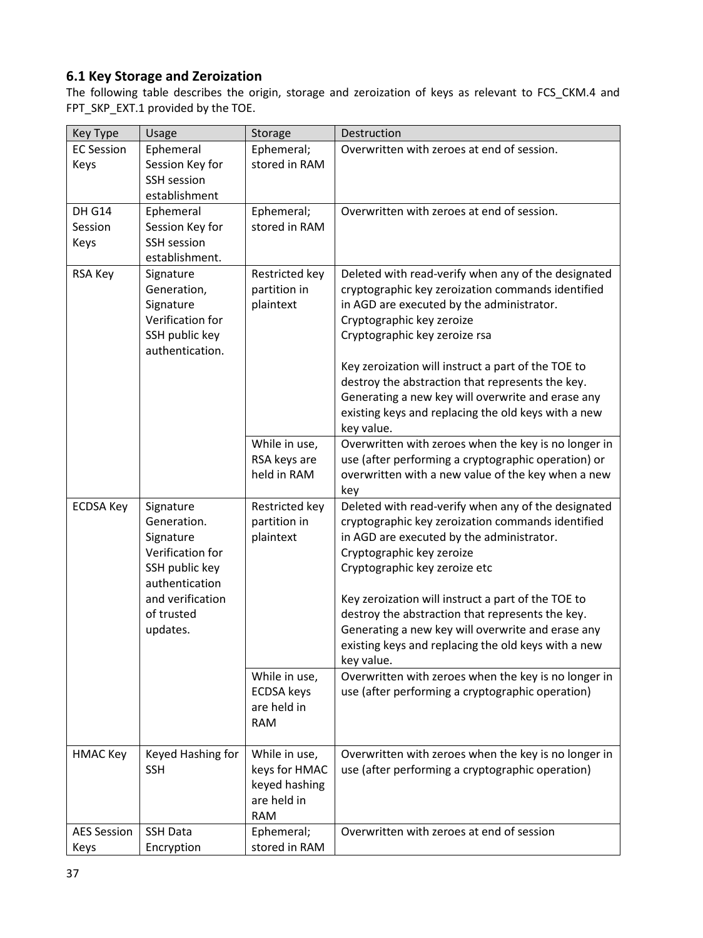# <span id="page-36-0"></span>**6.1 Key Storage and Zeroization**

The following table describes the origin, storage and zeroization of keys as relevant to FCS\_CKM.4 and FPT\_SKP\_EXT.1 provided by the TOE.

| Key Type           | Usage                             | Storage           | Destruction                                          |
|--------------------|-----------------------------------|-------------------|------------------------------------------------------|
| <b>EC Session</b>  | Ephemeral                         | Ephemeral;        | Overwritten with zeroes at end of session.           |
| Keys               | Session Key for                   | stored in RAM     |                                                      |
|                    | <b>SSH</b> session                |                   |                                                      |
|                    | establishment                     |                   |                                                      |
| <b>DH G14</b>      | Ephemeral                         | Ephemeral;        | Overwritten with zeroes at end of session.           |
| Session            | Session Key for                   | stored in RAM     |                                                      |
| Keys               | <b>SSH</b> session                |                   |                                                      |
|                    | establishment.                    |                   |                                                      |
| <b>RSA Key</b>     | Signature                         | Restricted key    | Deleted with read-verify when any of the designated  |
|                    | Generation,                       | partition in      | cryptographic key zeroization commands identified    |
|                    | Signature                         | plaintext         | in AGD are executed by the administrator.            |
|                    | Verification for                  |                   | Cryptographic key zeroize                            |
|                    | SSH public key<br>authentication. |                   | Cryptographic key zeroize rsa                        |
|                    |                                   |                   | Key zeroization will instruct a part of the TOE to   |
|                    |                                   |                   | destroy the abstraction that represents the key.     |
|                    |                                   |                   | Generating a new key will overwrite and erase any    |
|                    |                                   |                   | existing keys and replacing the old keys with a new  |
|                    |                                   |                   | key value.                                           |
|                    |                                   | While in use,     | Overwritten with zeroes when the key is no longer in |
|                    |                                   | RSA keys are      | use (after performing a cryptographic operation) or  |
|                    |                                   | held in RAM       | overwritten with a new value of the key when a new   |
|                    |                                   |                   | key                                                  |
| <b>ECDSA Key</b>   | Signature                         | Restricted key    | Deleted with read-verify when any of the designated  |
|                    | Generation.                       | partition in      | cryptographic key zeroization commands identified    |
|                    | Signature                         | plaintext         | in AGD are executed by the administrator.            |
|                    | Verification for                  |                   | Cryptographic key zeroize                            |
|                    | SSH public key<br>authentication  |                   | Cryptographic key zeroize etc                        |
|                    | and verification                  |                   | Key zeroization will instruct a part of the TOE to   |
|                    | of trusted                        |                   | destroy the abstraction that represents the key.     |
|                    | updates.                          |                   | Generating a new key will overwrite and erase any    |
|                    |                                   |                   | existing keys and replacing the old keys with a new  |
|                    |                                   |                   | key value.                                           |
|                    |                                   | While in use,     | Overwritten with zeroes when the key is no longer in |
|                    |                                   | <b>ECDSA</b> keys | use (after performing a cryptographic operation)     |
|                    |                                   | are held in       |                                                      |
|                    |                                   | <b>RAM</b>        |                                                      |
|                    |                                   |                   |                                                      |
| <b>HMAC Key</b>    | Keyed Hashing for                 | While in use,     | Overwritten with zeroes when the key is no longer in |
|                    | <b>SSH</b>                        | keys for HMAC     | use (after performing a cryptographic operation)     |
|                    |                                   | keyed hashing     |                                                      |
|                    |                                   | are held in       |                                                      |
|                    |                                   | <b>RAM</b>        |                                                      |
| <b>AES Session</b> | <b>SSH Data</b>                   | Ephemeral;        | Overwritten with zeroes at end of session            |
| Keys               | Encryption                        | stored in RAM     |                                                      |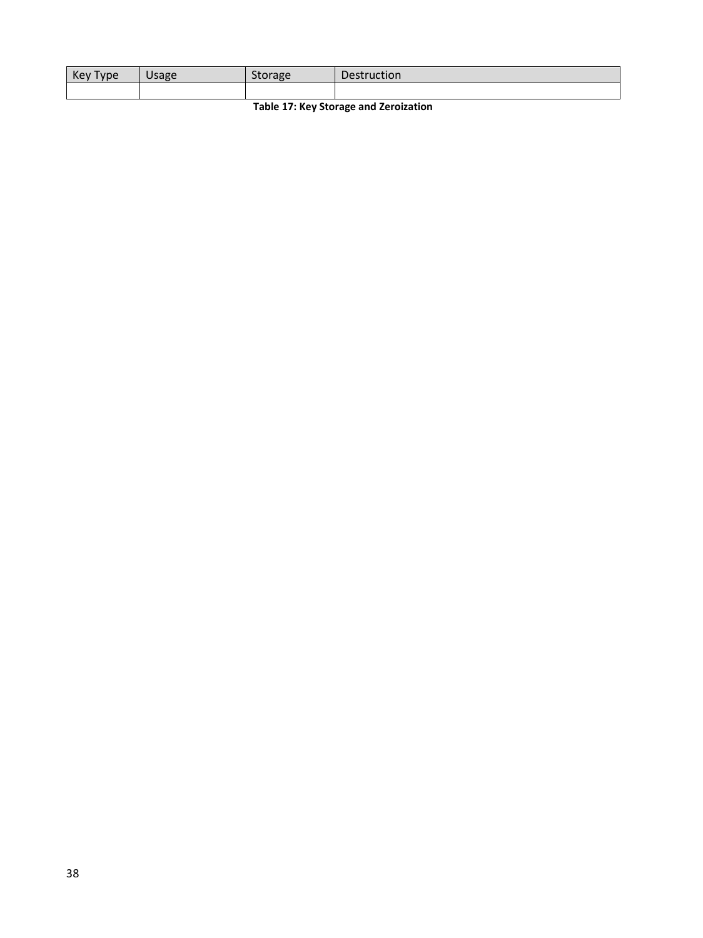| Key <sup>1</sup><br>-vpe | Jsage | orage | Destruction |
|--------------------------|-------|-------|-------------|
|                          |       |       |             |

**Table 17: Key Storage and Zeroization**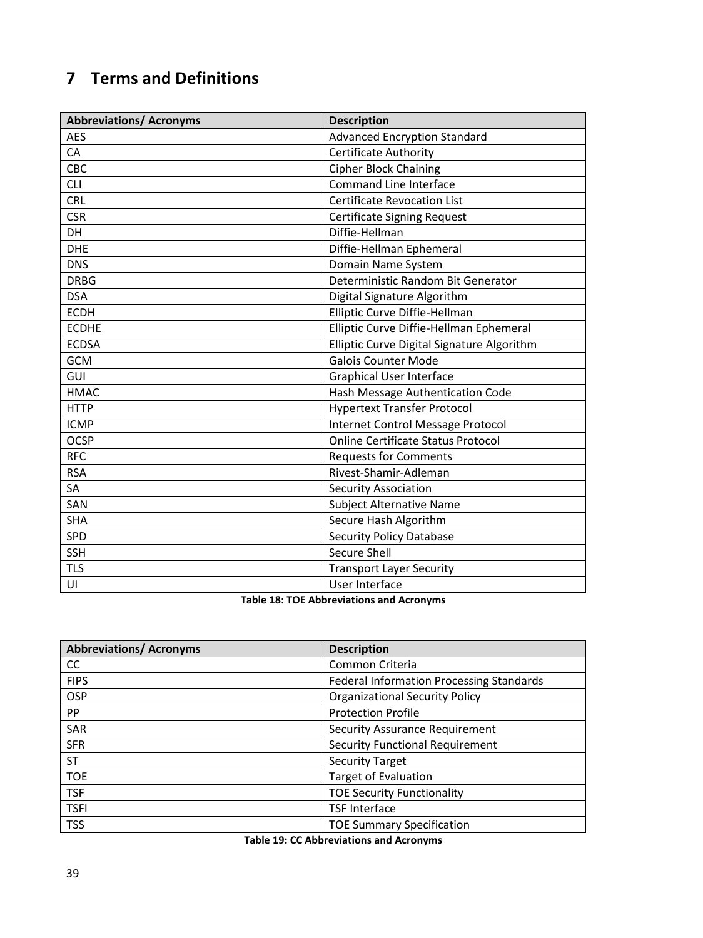# <span id="page-38-0"></span>**7 Terms and Definitions**

| <b>Abbreviations/ Acronyms</b> | <b>Description</b>                         |
|--------------------------------|--------------------------------------------|
| <b>AES</b>                     | <b>Advanced Encryption Standard</b>        |
| CA                             | Certificate Authority                      |
| CBC                            | <b>Cipher Block Chaining</b>               |
| <b>CLI</b>                     | <b>Command Line Interface</b>              |
| <b>CRL</b>                     | <b>Certificate Revocation List</b>         |
| <b>CSR</b>                     | <b>Certificate Signing Request</b>         |
| DH                             | Diffie-Hellman                             |
| <b>DHE</b>                     | Diffie-Hellman Ephemeral                   |
| <b>DNS</b>                     | Domain Name System                         |
| <b>DRBG</b>                    | Deterministic Random Bit Generator         |
| <b>DSA</b>                     | Digital Signature Algorithm                |
| <b>ECDH</b>                    | Elliptic Curve Diffie-Hellman              |
| <b>ECDHE</b>                   | Elliptic Curve Diffie-Hellman Ephemeral    |
| <b>ECDSA</b>                   | Elliptic Curve Digital Signature Algorithm |
| <b>GCM</b>                     | <b>Galois Counter Mode</b>                 |
| <b>GUI</b>                     | <b>Graphical User Interface</b>            |
| <b>HMAC</b>                    | Hash Message Authentication Code           |
| <b>HTTP</b>                    | <b>Hypertext Transfer Protocol</b>         |
| <b>ICMP</b>                    | Internet Control Message Protocol          |
| <b>OCSP</b>                    | <b>Online Certificate Status Protocol</b>  |
| <b>RFC</b>                     | <b>Requests for Comments</b>               |
| <b>RSA</b>                     | Rivest-Shamir-Adleman                      |
| SA                             | <b>Security Association</b>                |
| SAN                            | <b>Subject Alternative Name</b>            |
| <b>SHA</b>                     | Secure Hash Algorithm                      |
| SPD                            | <b>Security Policy Database</b>            |
| <b>SSH</b>                     | <b>Secure Shell</b>                        |
| <b>TLS</b>                     | <b>Transport Layer Security</b>            |
| UI                             | User Interface                             |

**Table 18: TOE Abbreviations and Acronyms**

| <b>Abbreviations/ Acronyms</b> | <b>Description</b>                              |
|--------------------------------|-------------------------------------------------|
| <b>CC</b>                      | Common Criteria                                 |
| <b>FIPS</b>                    | <b>Federal Information Processing Standards</b> |
| <b>OSP</b>                     | <b>Organizational Security Policy</b>           |
| PP                             | <b>Protection Profile</b>                       |
| SAR                            | <b>Security Assurance Requirement</b>           |
| <b>SFR</b>                     | <b>Security Functional Requirement</b>          |
| <b>ST</b>                      | <b>Security Target</b>                          |
| <b>TOE</b>                     | <b>Target of Evaluation</b>                     |
| <b>TSF</b>                     | <b>TOE Security Functionality</b>               |
| <b>TSFI</b>                    | <b>TSF Interface</b>                            |
| <b>TSS</b>                     | <b>TOE Summary Specification</b>                |

**Table 19: CC Abbreviations and Acronyms**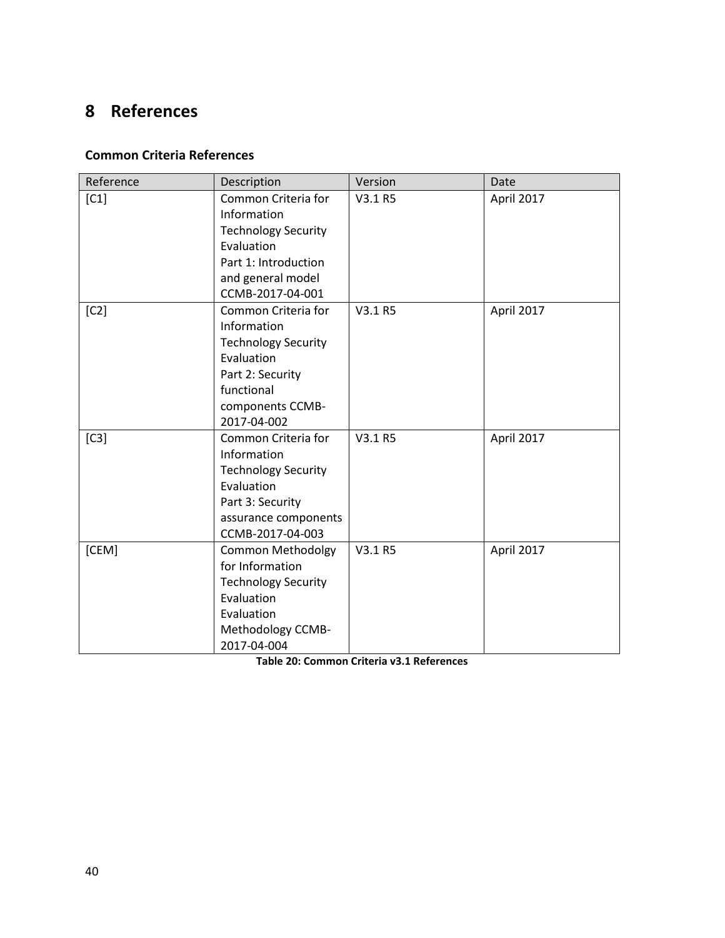# <span id="page-39-0"></span>**8 References**

# **Common Criteria References**

| Reference | Description                                                                                                                                         | Version | Date       |
|-----------|-----------------------------------------------------------------------------------------------------------------------------------------------------|---------|------------|
| [C1]      | Common Criteria for<br>Information<br><b>Technology Security</b><br>Evaluation<br>Part 1: Introduction<br>and general model<br>CCMB-2017-04-001     | V3.1 R5 | April 2017 |
| [C2]      | Common Criteria for<br>Information<br><b>Technology Security</b><br>Evaluation<br>Part 2: Security<br>functional<br>components CCMB-<br>2017-04-002 | V3.1 R5 | April 2017 |
| [C3]      | Common Criteria for<br>Information<br><b>Technology Security</b><br>Evaluation<br>Part 3: Security<br>assurance components<br>CCMB-2017-04-003      | V3.1 R5 | April 2017 |
| [CEM]     | <b>Common Methodolgy</b><br>for Information<br><b>Technology Security</b><br>Evaluation<br>Evaluation<br>Methodology CCMB-<br>2017-04-004           | V3.1 R5 | April 2017 |

**Table 20: Common Criteria v3.1 References**